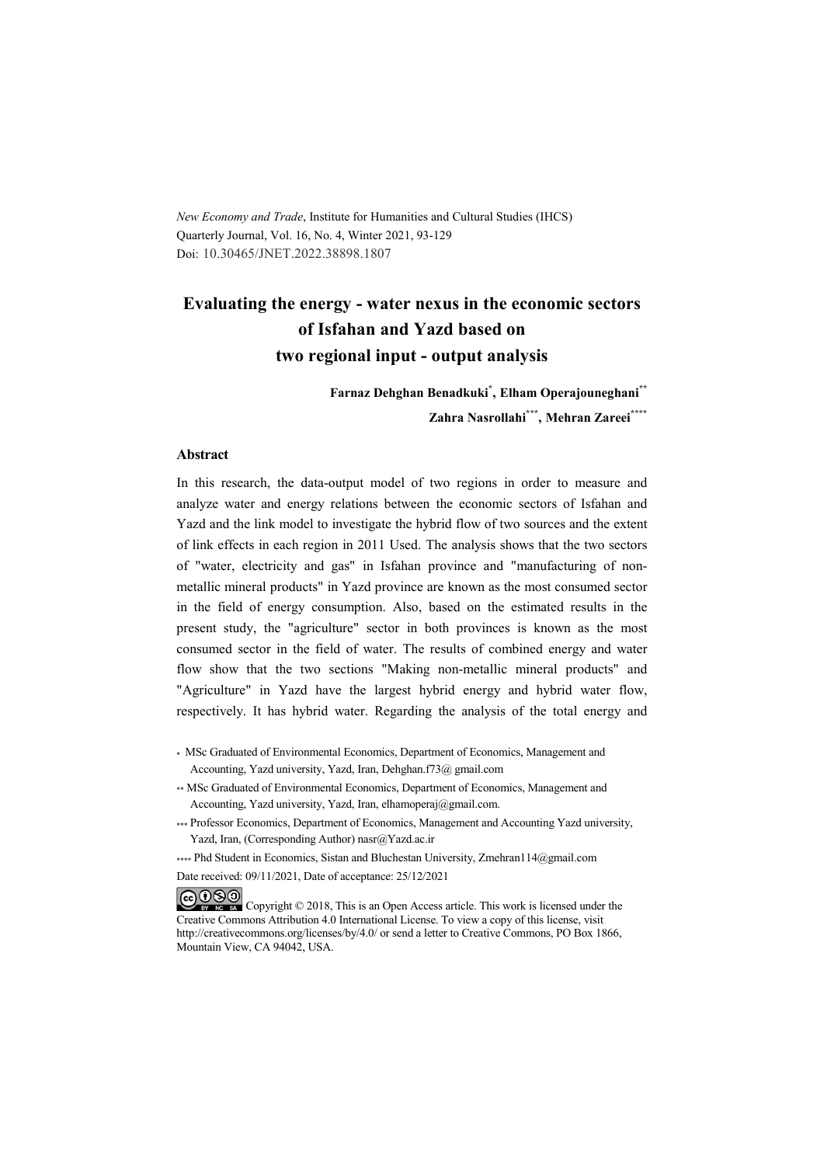*New Economy and Trade*, Institute for Humanities and Cultural Studies (IHCS) Quarterly Journal, Vol. 16, No. 4, Winter 2021, 93-129 Doi: 10.30465/JNET.2022.38898.1807

## **Evaluating the energy - water nexus in the economic sectors of Isfahan and Yazd based on two regional input - output analysis**

**Farnaz Dehghan Benadkuki\* , Elham Operajouneghani\*\* Zahra Nasrollahi\*\*\* , Mehran Zareei\*\*\*\***

#### **Abstract**

In this research, the data-output model of two regions in order to measure and analyze water and energy relations between the economic sectors of Isfahan and Yazd and the link model to investigate the hybrid flow of two sources and the extent of link effects in each region in 2011 Used. The analysis shows that the two sectors of "water, electricity and gas" in Isfahan province and "manufacturing of nonmetallic mineral products" in Yazd province are known as the most consumed sector in the field of energy consumption. Also, based on the estimated results in the present study, the "agriculture" sector in both provinces is known as the most consumed sector in the field of water. The results of combined energy and water flow show that the two sections "Making non-metallic mineral products" and "Agriculture" in Yazd have the largest hybrid energy and hybrid water flow, respectively. It has hybrid water. Regarding the analysis of the total energy and

\* MSc Graduated of Environmental Economics, Department of Economics, Management and Accounting, Yazd university, Yazd, Iran, Dehghan.f73@ gmail.com

- \*\* MSc Graduated of Environmental Economics, Department of Economics, Management and Accounting, Yazd university, Yazd, Iran, elhamoperaj@gmail.com.
- \*\*\* Professor Economics, Department of Economics, Management and Accounting Yazd university, Yazd, Iran, (Corresponding Author) nasr@Yazd.ac.ir

\*\*\*\* Phd Student in Economics, Sistan and Bluchestan University, Zmehran114@gmail.com

Date received: 09/11/2021, Date of acceptance: 25/12/2021

COOO Copyright © 2018, This is an Open Access article. This work is licensed under the Creative Commons Attribution 4.0 International License. To view a copy of this license, visit http://creativecommons.org/licenses/by/4.0/ or send a letter to Creative Commons, PO Box 1866, Mountain View, CA 94042, USA.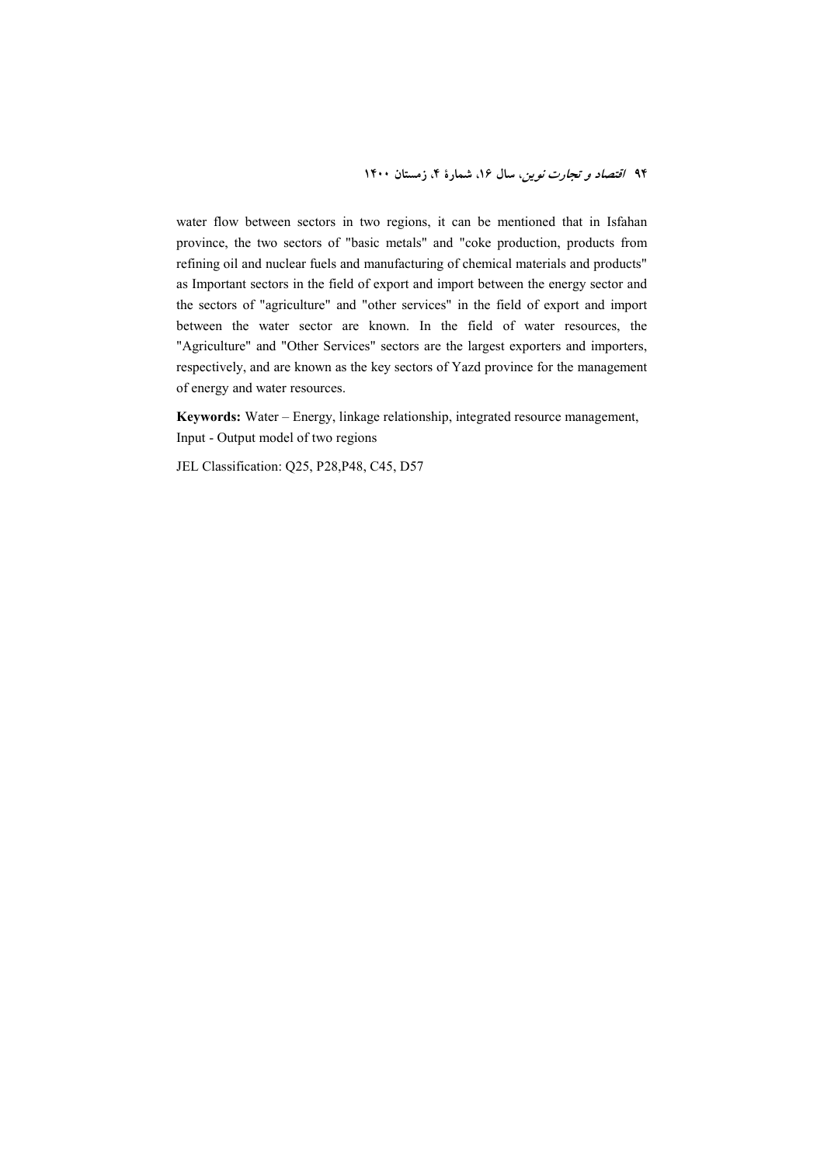water flow between sectors in two regions, it can be mentioned that in Isfahan province, the two sectors of "basic metals" and "coke production, products from refining oil and nuclear fuels and manufacturing of chemical materials and products" as Important sectors in the field of export and import between the energy sector and the sectors of "agriculture" and "other services" in the field of export and import between the water sector are known. In the field of water resources, the "Agriculture" and "Other Services" sectors are the largest exporters and importers, respectively, and are known as the key sectors of Yazd province for the management of energy and water resources.

**Keywords:** Water – Energy, linkage relationship, integrated resource management, Input - Output model of two regions

JEL Classification: Q25, P28,P48, C45, D57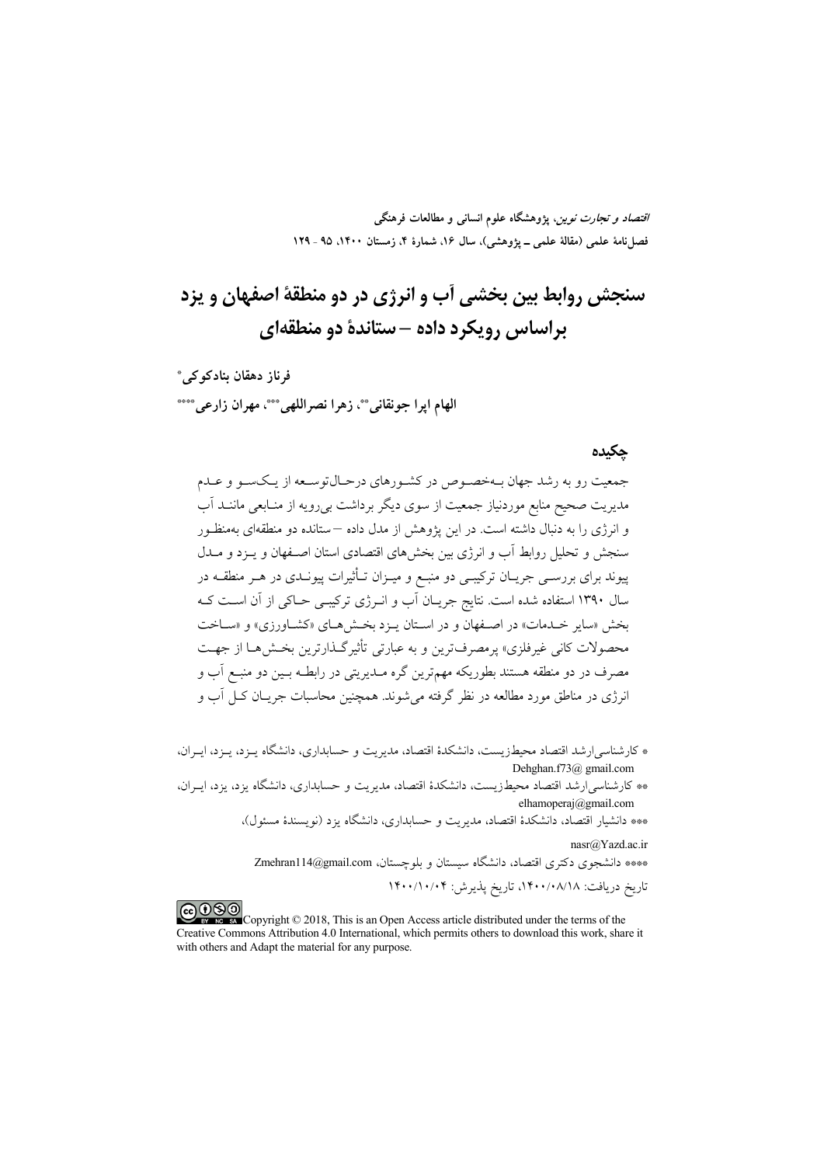*اقتصاد و تجارت نوین*، پژوهشگاه علوم انسان<sub>ی</sub> و مطالعات فرهنگی فصل نامهٔ علمی (مقالهٔ علمی \_ یژوهشی)، سال ۱۶، شمارهٔ ۴، زمستان ۱۴۰۰، ۹۵ ـ ۱۲۹

# سنجش روابط بين بخشي أب و انرژي در دو منطقهٔ اصفهان و يزد پراساس رویکرد داده –ستاندهٔ دو منطقهای

فرناز دھقان بنادکو کے ِ \* الهام ايرا جونقاني \*\*، زهرا نصراللهي \*\*\*، مهران زارعي \*\*\*\*

#### حكىدە

جمعیت رو به رشد جهان بـهخصـوص در کشـورهای درحـال¤وسـعه از یـکسـو و عـدم مدیریت صحیح منابع موردنیاز جمعیت از سوی دیگر برداشت بیرویه از منـابعی ماننــد آب و انرژی را به دنبال داشته است. در این یژوهش از مدل داده —ستانده دو منطقهای بهمنظـور سنجش و تحلیل روابط آب و انرژی بین بخشهای اقتصادی استان اصـفهان و پـزد و مــدل پیوند برای بررسـی جریـان ترکیبـی دو منبـع و میــزان تــأثیرات پیونــدی در هــر منطقــه در سال ۱۳۹۰ استفاده شده است. نتایج جریـان اَب و انــرژی ترکیبــی حــاکـی از اَن اســت کــه بخش «ساير خـدمات» در اصـفهان و در اسـتان يـزد بخـش هـاي «كشـاورزي» و «سـاخت محصولات کانی غیرفلزی» پرمصرفترین و به عبارتی تأثیرگـذارترین بخـشهـا از جهـت مصرف در دو منطقه هستند بطوریکه مهمترین گره مــدیریتی در رابطــه بــین دو منبــع آب و انرژی در مناطق مورد مطالعه در نظر گرفته می شوند. همچنین محاسبات جریــان کــل آب و

\* كارشناسي/رشد اقتصاد محيطزيست، دانشكدهٔ اقتصاد، مديريت و حسابداري، دانشگاه پـزد، پـزد، ايـران، Dehghan.f73@ gmail.com

\*\* کارشناسی[رشد اقتصاد محیطزیست، دانشکدهٔ اقتصاد، مدیریت و حسابداری، دانشگاه یزد، یزد، ایـران، elhamoperaj@gmail.com

\*\*\* دانشیار اقتصاد، دانشکدهٔ اقتصاد، مدیریت و حسابداری، دانشگاه یزد (نویسندهٔ مسئول)، nasr@Yazd.ac.ir

\*\*\*\* دانشجوی دکتری اقتصاد، دانشگاه سیستان و بلوچستان، Zmehran114@gmail.com

تاريخ دريافت: ١٤٠٠/٠٨/١٨، تاريخ پذيرش: ١۴٠٠/١٠/٠۴

COOD average Copyright © 2018, This is an Open Access article distributed under the terms of the Creative Commons Attribution 4.0 International, which permits others to download this work, share it with others and Adapt the material for any purpose.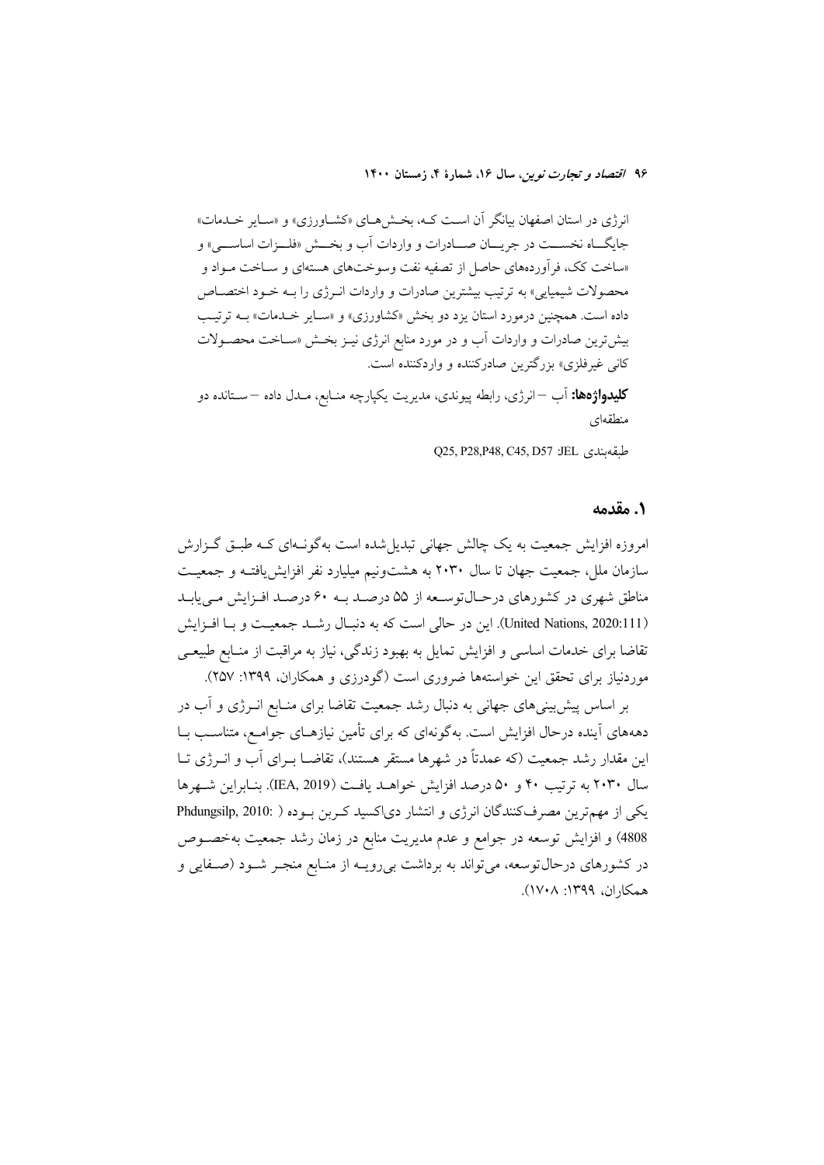انرژی در استان اصفهان بیانگر آن است کـه، بخـش۵حـای «کشــاورزی» و «سـایر خــدمات» جايگــاه نخســـت در جريـــان صـــادرات و واردات آب و بخـــش «فلـــزات اساســــى» و «ساخت کک، فر اَوردههای حاصل از تصفیه نفت وسوختهای هستهای و ســاخت مــواد و محصولات شیمیایی» به ترتیب بیشترین صادرات و واردات انـرژی را بـه خـود اختصـاص داده است. همچنین درمورد استان یزد دو بخش «کشاورزی» و «سـایر خـدمات» بــه ترتیـب بیشترین صادرات و واردات آب و در مورد منابع انرژی نیـز بخـش «ســاخت محصــولات کانی غیرفلزی» بزرگترین صادرکننده و واردکننده است.

**کلیدواژهها:** اَب —انرژی، رابطه پیوندی، مدیریت یکپارچه منـابع، مـدل داده —ســتانده دو منطقهای

Q25, P28, P48, C45, D57 : JEL وQ25, P28, P48

### ٠. مقدمه

امروزه افزایش جمعیت به یک چالش جهانی تبدیل شده است بهگونـهای کـه طبـق گـزارش سازمان ملل، جمعیت جهان تا سال ۲۰۳۰ به هشتونیم میلیارد نفر افزایش یافتـه و جمعیـت مناطق شهری در کشورهای درحـالتوسـعه از ۵۵ درصـد بـه ۶۰ درصـد افـزایش مـی یابـد (United Nations, 2020:111). این در حالی است که به دنبال رشـد جمعیـت و بـا افـزایش تقاضا برای خدمات اساسی و افزایش تمایل به بهبود زندگی، نیاز به مراقبت از منـابع طبیعـی موردنیاز برای تحقق این خواستهها ضروری است (گودرزی و همکاران، ۱۳۹۹: ۲۵۷).

بر اساس پیش بینیهای جهانی به دنبال رشد جمعیت تقاضا برای منـابع انــرژی و آب در دهههای آینده درحال افزایش است. بهگونهای که برای تأمین نیازهـای جوامـع، متناسـب بــا این مقدار رشد جمعیت (که عمدتاً در شهرها مستقر هستند)، تقاضــا بــرای آب و انــرژی تــا سال ۲۰۳۰ به ترتیب ۴۰ و ۵۰ درصد افزایش خواهـد یافـت (IEA, 2019). بنـابراین شـهرها یکی از مهمترین مصرفکنندگان انرژی و انتشار دیاکسید کربن بوده ( Phdungsilp, 2010: ) 4808) و افزایش توسعه در جوامع و عدم مدیریت منابع در زمان رشد جمعیت بهخصوص در کشورهای درحالتوسعه، میتواند به برداشت بی رویـه از منـابع منجـر شـود (صـفایی و همكاران، ١٣٩٩: ١٧٠٨).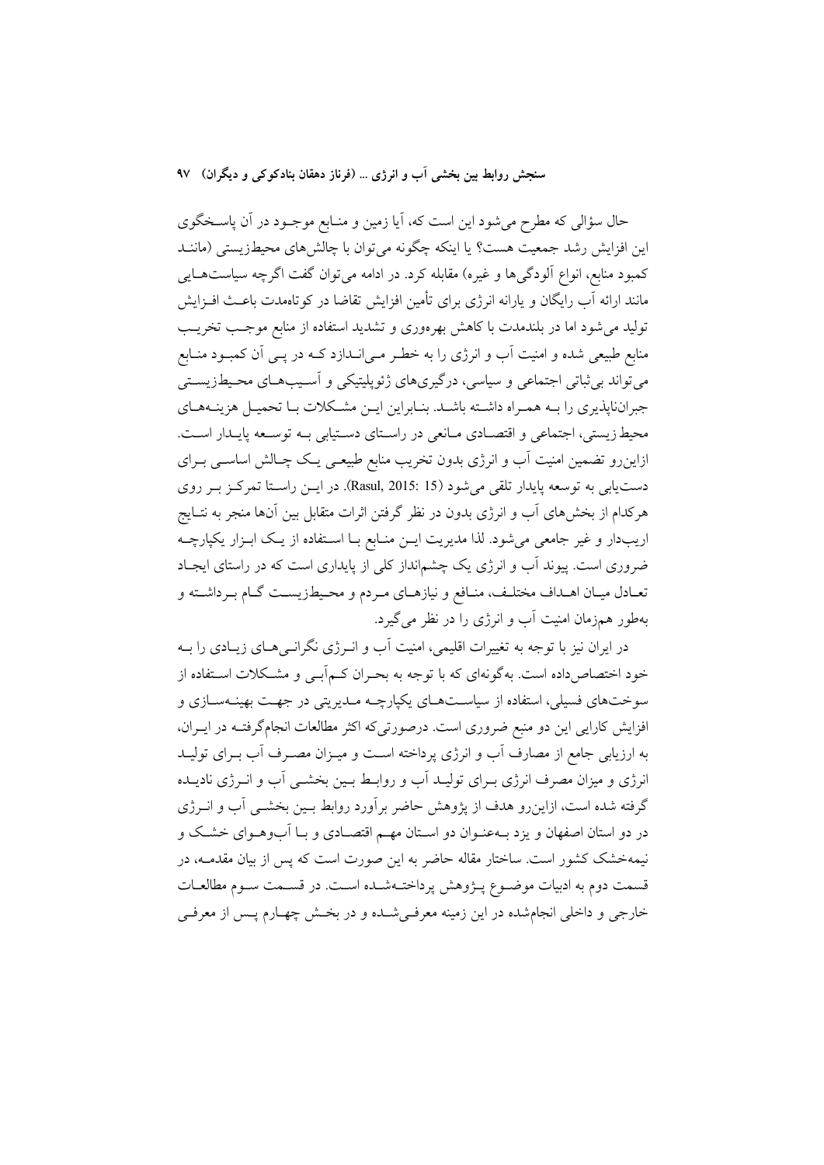حال سؤالی که مطرح میشود این است که، آیا زمین و منـابع موجــود در آن پاسـخگوی این افزایش رشد جمعیت هست؟ یا اینکه چگونه می توان با چالش های محیطزیستی (ماننــد کمبود منابع، انواع الودگیها و غیره) مقابله کرد. در ادامه می توان گفت اگرچه سیاستهـایی مانند ارائه آب رایگان و یارانه انرژی برای تأمین افزایش تقاضا در کوتاهمدت باعـث افــزایش تولید می شود اما در بلندمدت با کاهش بهرهوری و تشدید استفاده از منابع موجب تخریب منابع طبیعی شده و امنیت آب و انرژی را به خطـر مـی|نــدازد کــه در پــی آن کمبــود منــابع می تواند بی ثباتی اجتماعی و سیاسی، درگیریهای ژئوپلیتیکی و آسـیبهـای محـیطزیسـتی جبراننایذیری را بـه همـراه داشـته باشـد. بنـابراین ایـن مشـكلات بـا تحمیـل هزینـههـای محیط زیستی، اجتماعی و اقتصـادی مـانعی در راسـتای دسـتیابی بـه توسـعه پایـدار اسـت. ازاینرو تضمین امنیت آب و انرژی بدون تخریب منابع طبیعـی یـک چـالش اساسـی بـرای دست یابی به توسعه پایدار تلقی می شود (Rasul, 2015: 15). در ایــن راسـتا تمرکـز بـر روی هرکدام از بخش های آب و انرژی بدون در نظر گرفتن اثرات متقابل بین آنها منجر به نتــایج اریبدار و غیر جامعی می شود. لذا مدیریت ایــن منـابع بــا اسـتفاده از یــک ابــزار یکپارچــه ضروری است. پیوند آب و انرژی یک چشمانداز کلی از پایداری است که در راستای ایجـاد تعـادل میـان اهـداف مختلـف، منـافع و نیازهـاي مـردم و محـيطزيسـت گـام بـرداشـته و بهطور همزمان امنیت آب و انرژی را در نظر می گیرد.

در ایران نیز با توجه به تغییرات اقلیمی، امنیت آب و انـرژی نگرانــیهـای زیـادی را بــه خود اختصاصداده است. بهگونهای که با توجه به بحـران کـم|بـبی و مشـکلات اسـتفاده از سوختهای فسیلی، استفاده از سیاسـتهـای یکپارچــه مـدیریتی در جهـت بهینــهسـازی و افزایش کارایی این دو منبع ضروری است. درصورتیکه اکثر مطالعات انجامگرفتـه در ایــران، به ارزیابی جامع از مصارف آب و انرژی پرداخته است و میـزان مصـرف آب بـرای تولیــد انرژی و میزان مصرف انرژی بـرای تولیـد آب و روابـط بـین بخشــی آب و انــرژی نادیــده گرفته شده است، ازاینرو هدف از پژوهش حاضر برآورد روابط بـین بخشـبی آب و انــرژی در دو استان اصفهان و یزد بـهعنـوان دو اسـتان مهـم اقتصـادی و بـا آبوهـوای خشـک و .<br>نیمهخشک کشور است. ساختار مقاله حاضر به این صورت است که پس از بیان مقدمــه، در قسمت دوم به ادبیات موضـوع پــژوهش پرداختــهشــده اســت. در قســمت ســوم مطالعــات خارجی و داخلی انجامشده در این زمینه معرفی شـده و در بخـش چهـارم پـس از معرفـی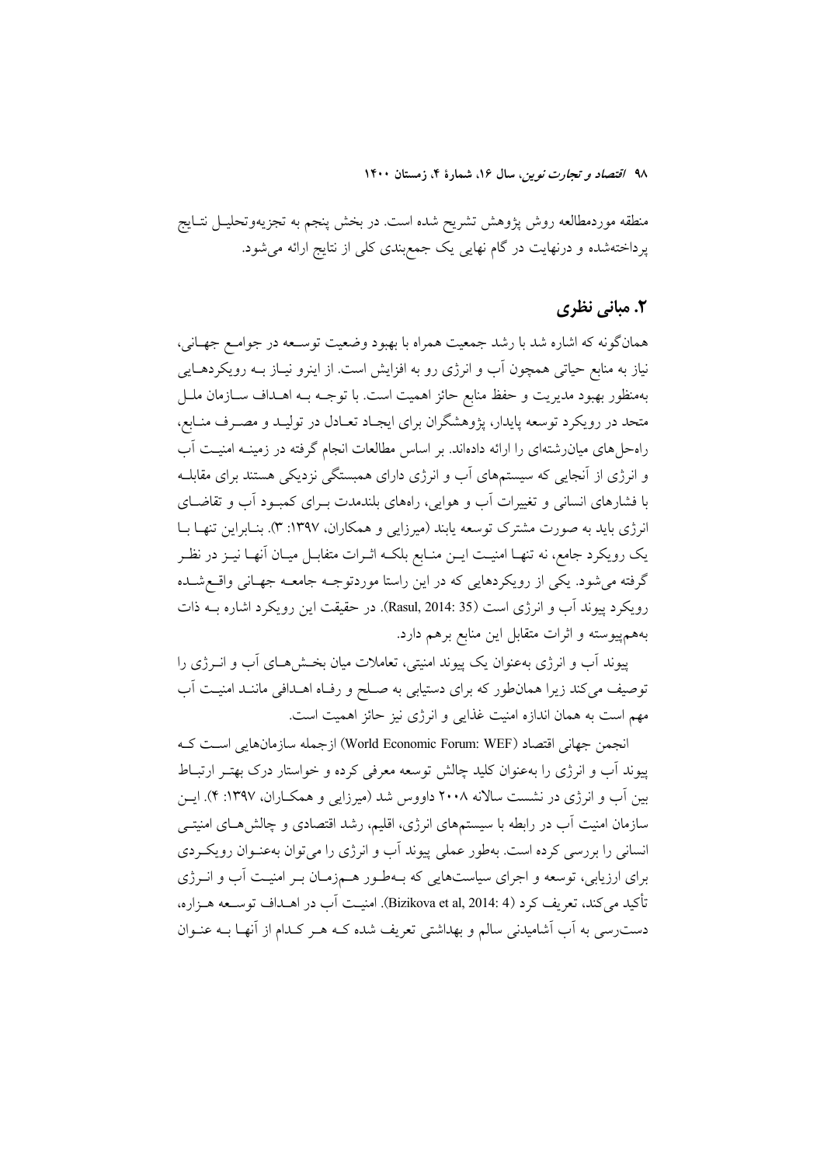منطقه موردمطالعه روش پژوهش تشريح شده است. در بخش پنجم به تجزيهوتحليــل نتــايج پرداختهشده و درنهایت در گام نهایی یک جمع بندی کلی از نتایج ارائه می شود.

### **۲. مبانی نظری**

همانگونه که اشاره شد با رشد جمعیت همراه با بهبود وضعیت توسـعه در جوامـع جهـانی، نیاز به منابع حیاتی همچون آب و انرژی رو به افزایش است. از اینرو نیـاز بــه رویکردهــایی بهمنظور بهبود مديريت و حفظ منابع حائز اهميت است. با توجـه بــه اهــداف ســازمان ملــل متحد در رویکرد توسعه پایدار، پژوهشگران برای ایجـاد تعـادل در تولیـد و مصـرف منـابع، راهحلهای میان رشتهای را ارائه دادهاند. بر اساس مطالعات انجام گرفته در زمینـه امنیـت آب و انرژی از آنجایی که سیستمهای آب و انرژی دارای همبستگی نزدیکی هستند برای مقابلــه با فشارهای انسانی و تغییرات آب و هوایی، راههای بلندمدت بـرای کمبـود آب و تقاضــای انرژی باید به صورت مشترک توسعه یابند (میرزایی و همکاران، ۱۳۹۷: ۳). بنـابراین تنهـا بـا یک رویکرد جامع، نه تنهـا امنیـت ایــن منــابع بلکــه اثــرات متفابــل میــان آنهــا نیــز در نظــر گرفته می شود. یکی از رویکردهایی که در این راستا موردتوجـه جامعـه جهـانی واقـع شــده رویکرد پیوند آب و انرژی است (Rasul, 2014: 35). در حقیقت این رویکرد اشاره بـه ذات بههم پیوسته و اثرات متقابل این منابع برهم دارد.

پیوند آب و انرژی بهعنوان یک پیوند امنیتی، تعاملات میان بخشهای آب و انـرژی را توصیف می کند زیرا همان طور که برای دستیابی به صـلح و رفـاه اهــدافی ماننــد امنیــت آب مهم است به همان اندازه امنیت غذایی و انرژی نیز حائز اهمیت است.

انجمن جهاني اقتصاد (World Economic Forum: WEF) ازجمله سازمانهايي است كـه پیوند آب و انرژی را بهعنوان کلید چالش توسعه معرفی کرده و خواستار درک بهتـر ارتبـاط بین آب و انرژی در نشست سالانه ۲۰۰۸ داووس شد (میرزایی و همکـاران، ۱۳۹۷: ۴). ایــن سازمان امنیت آب در رابطه با سیستمهای انرژی، اقلیم، رشد اقتصادی و چالش هـای امنیتـی انسانی را بررسی کرده است. بهطور عملی پیوند آب و انرژی را میتوان بهعنـوان رویکـردی برای ارزیابی، توسعه و اجرای سیاستهایی که بـهطـور هـمزمـان بـر امنیـت آب و انــرژی تأكيد مي كند، تعريف كرد (Bizikova et al, 2014: 4). امنيـت آب در اهــداف توســعه هــزاره، دست رسی به آب آشامیدنی سالم و بهداشتی تعریف شده کـه هـر کـدام از آنهـا بــه عنــوان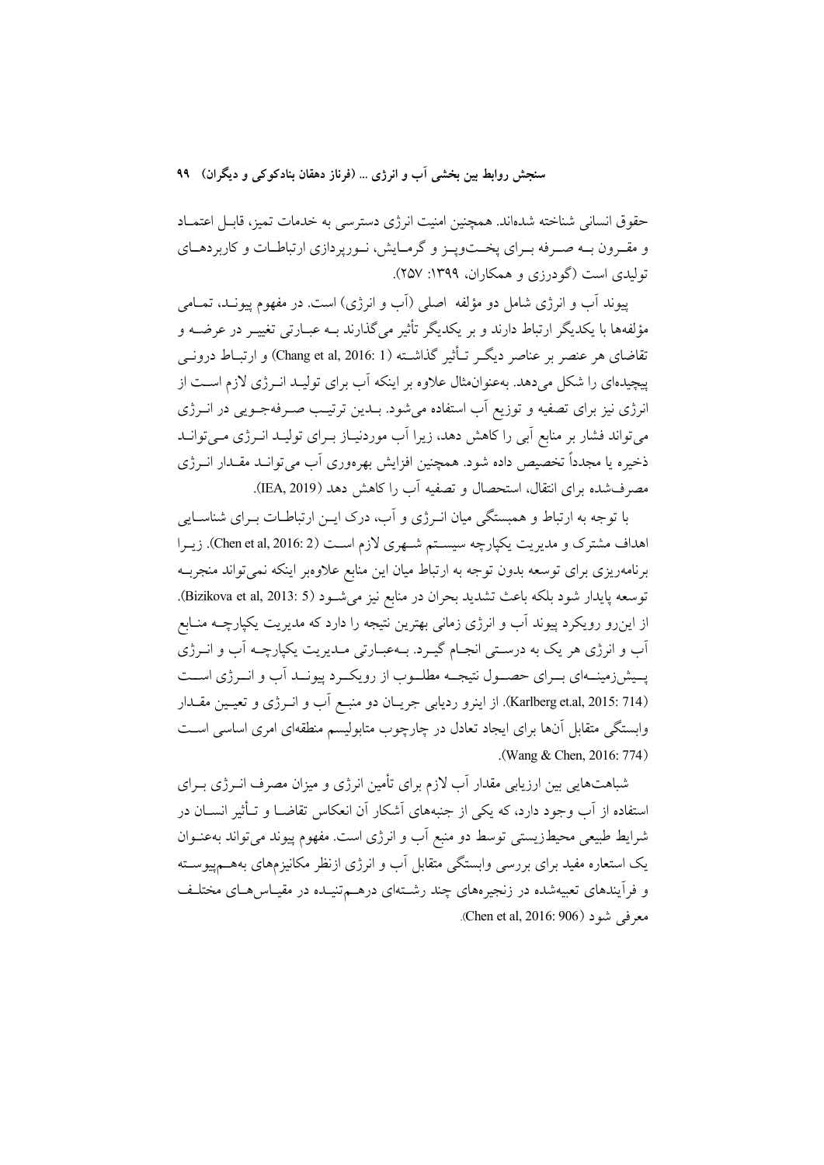حقوق انسانی شناخته شدهاند. همچنین امنیت انرژی دسترسی به خدمات تمیز، قابـل اعتمـاد و مقـرون بـه صـرفه بـراي پخــتوپـز و گرمـايش، نـورپردازي ارتباطـات و كاربردهــاي توليدي است (گودرزي و همكاران، ١٣٩٩: ٢۵٧).

پیوند آب و انرژی شامل دو مؤلفه اصلی (آب و انرژی) است. در مفهوم پیونـد، تمــامی مؤلفهها با یکدیگر ارتباط دارند و بر یکدیگر تأثیر میگذارند بـه عبـارتی تغییـر در عرضــه و تقاضاي هر عنصر بر عناصر ديگــر تــأثير گذاشــته (Chang et al, 2016: 1) و ارتبــاط درونــي پیچیدهای را شکل می دهد. بهعنوان مثال علاوه بر اینکه آب برای تولیـد انـرژی لازم اسـت از انرژی نیز برای تصفیه و توزیع آب استفاده میشود. بـدین ترتیـب صـرفهجـویی در انــرژی می تواند فشار بر منابع آبی را کاهش دهد، زیرا آب موردنیـاز بـرای تولیـد انـرژی مـی توانـد ذخيره يا مجدداً تخصيص داده شود. همچنين افزايش بهرهوري آب مي توانــد مقــدار انــرژي مصرفشده برای انتقال، استحصال و تصفیه آب را کاهش دهد (IEA, 2019).

با توجه به ارتباط و همبستگی میان انـرژی و آب، درک ایــن ارتباطــات بــرای شناســایی اهداف مشترک و مدیریت یکپارچه سیستم شـهری لازم اسـت (Chen et al, 2016: 2). زیـرا برنامهریزی برای توسعه بدون توجه به ارتباط میان این منابع علاوهبر اینکه نمی تواند منجربـه توسعه يايدار شود بلكه باعث تشديد بحران در منابع نيز مي شـود (Bizikova et al, 2013: 5). از اینرو رویکرد پیوند آب و انرژی زمانی بهترین نتیجه را دارد که مدیریت یکپارچــه منــابع آب و انرژی هر یک به درستی انجـام گیـرد. بـهعبـارتی مـدیریت یکپارچـه آب و انــرژی پسیشزهینــهای بــرای حصــول نتیجــه مطلــوب از رویکــرد پیونــد اَب و انــرژی اســت (Karlberg et.al, 2015: 714). از اينرو رديابي جريـان دو منبـع أب و انــرژي و تعيـين مقــدار وابستگی متقابل آنها برای ایجاد تعادل در چارچوب متابولیسم منطقهای امری اساسی است .(Wang & Chen, 2016: 774)

شباهتهایی بین ارزیابی مقدار آب لازم برای تأمین انرژی و میزان مصرف انــرژی بــرای استفاده از آب وجود دارد، که یکی از جنبههای اَشکار اَن انعکاس تقاضــا و تــأثیر انســان در شرایط طبیعی محیطزیستی توسط دو منبع آب و انرژی است. مفهوم پیوند میتواند بهعنـوان یک استعاره مفید برای بررسی وابستگی متقابل آب و انرژی ازنظر مکانیزمهای بههــمییوســته و فرآیندهای تعبیهشده در زنجیرههای چند رشـتهای درهـمتنیـده در مقیـاس۵هـای مختلـف معرفي شود (Chen et al, 2016: 906).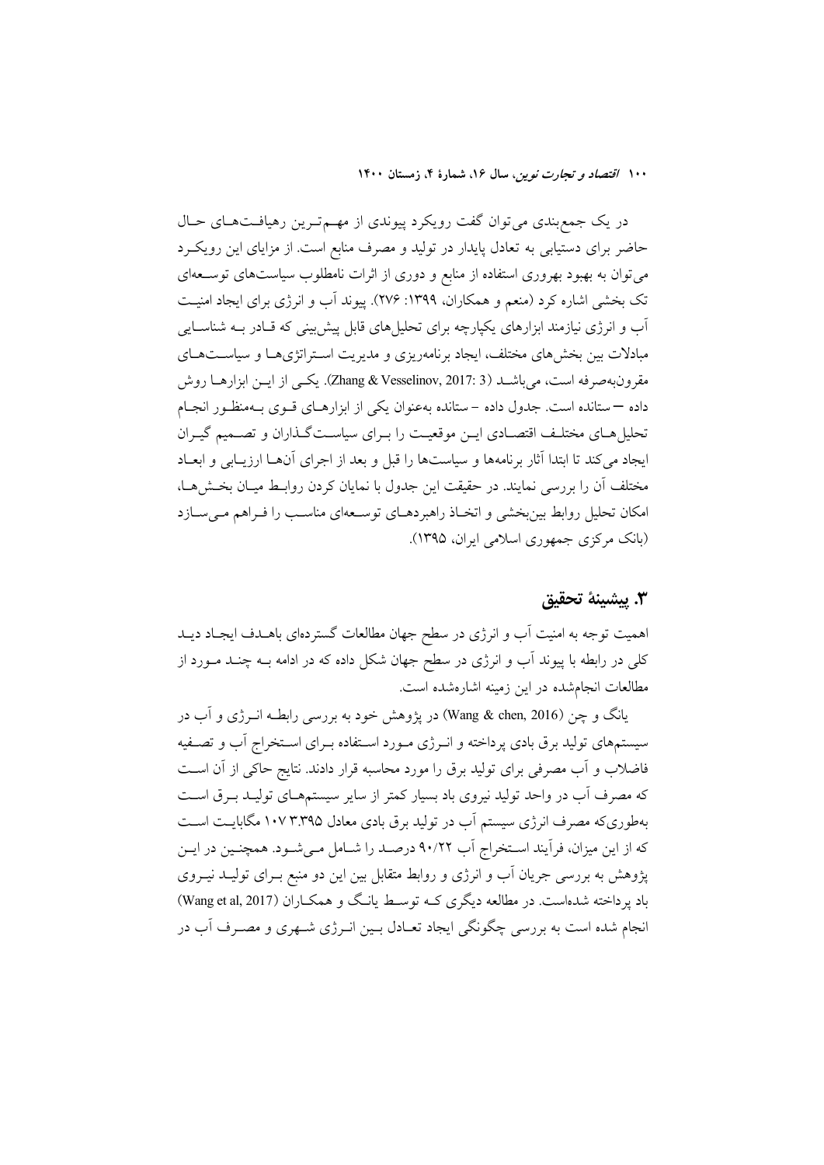در یک جمع بندی می توان گفت رویکرد پیوندی از مهـمترین رهیافـتهـای حـال حاضر برای دستیابی به تعادل پایدار در تولید و مصرف منابع است. از مزایای این رویکرد می توان به بهبود بهروری استفاده از منابع و دوری از اثرات نامطلوب سیاستهای توســعهای تک بخشی اشاره کرد (منعم و همکاران، ۱۳۹۹: ۲۷۶). پیوند آب و انرژی برای ایجاد امنیت آب و انرژی نیازمند ابزارهای یکپارچه برای تحلیلهای قابل پیش بینی که قـادر بــه شناســایی مبادلات بین بخش های مختلف، ایجاد برنامهریزی و مدیریت استراتژی هـا و سیاسـتهـای مقرونبهصرفه است، مي باشـد ( Zhang & Vesselinov, 2017: 3). يكـي از ايــن ابزارهـا روش داده — ستانده است. جدول داده – ستانده بهعنوان یکی از ابزارهـای قــوی بــهمنظـور انجــام تحلیل هـای مختلـف اقتصـادی ایــن موقعیــت را بــرای سیاســتگـذاران و تصــمیم گیــران ایجاد می کند تا ابتدا آثار برنامهها و سیاستها را قبل و بعد از اجرای آنهــا ارزیــابی و ابعــاد مختلف أن را بررسی نمایند. در حقیقت این جدول با نمایان کردن روابـط میـان بخــش۱هـا، امکان تحلیل روابط بین بخشی و اتخـاذ راهبردهـای توسـعهای مناسـب را فـراهم مـی سـازد (بانک مرکزی جمهوری اسلامی ایران، ۱۳۹۵).

### ٣. پيشينهٔ تحقيق

اهمیت توجه به امنیت آب و انرژی در سطح جهان مطالعات گستردهای باهـدف ایجـاد دیـد کلی در رابطه با پیوند آب و انرژی در سطح جهان شکل داده که در ادامه بــه چنــد مــورد از مطالعات انجامشده در این زمینه اشارهشده است.

یانگ و چن (Wang & chen, 2016) در یژوهش خود به بررسی رابطـه انــرژی و آب در سیستمهای تولید برق بادی پرداخته و انـرژی مـورد اسـتفاده بـرای اسـتخراج آب و تصـفیه فاضلاب و آب مصرفی برای تولید برق را مورد محاسبه قرار دادند. نتایج حاکی از آن است که مصرف آب در واحد تولید نیروی باد بسیار کمتر از سایر سیستمهـای تولیـد بـرق اسـت بهطوریکه مصرف انرژی سیستم آب در تولید برق بادی معادل ۱۰۷ ۳.۳۹۵ مگابایـت اسـت که از این میزان، فرآیند اسـتخراج آب ۹۰/۲۲ درصـد را شـامل مـیشـود. همچنـین در ایـن پژوهش به بررسی جریان آب و انرژی و روابط متقابل بین این دو منبع بـرای تولیــد نیــروی باد پرداخته شدهاست. در مطالعه دیگری کـه توسـط یانـگ و همکـاران (Wang et al, 2017) انجام شده است به بررسی چگونگی ایجاد تعـادل بـین انـرژی شـهری و مصـرف آب در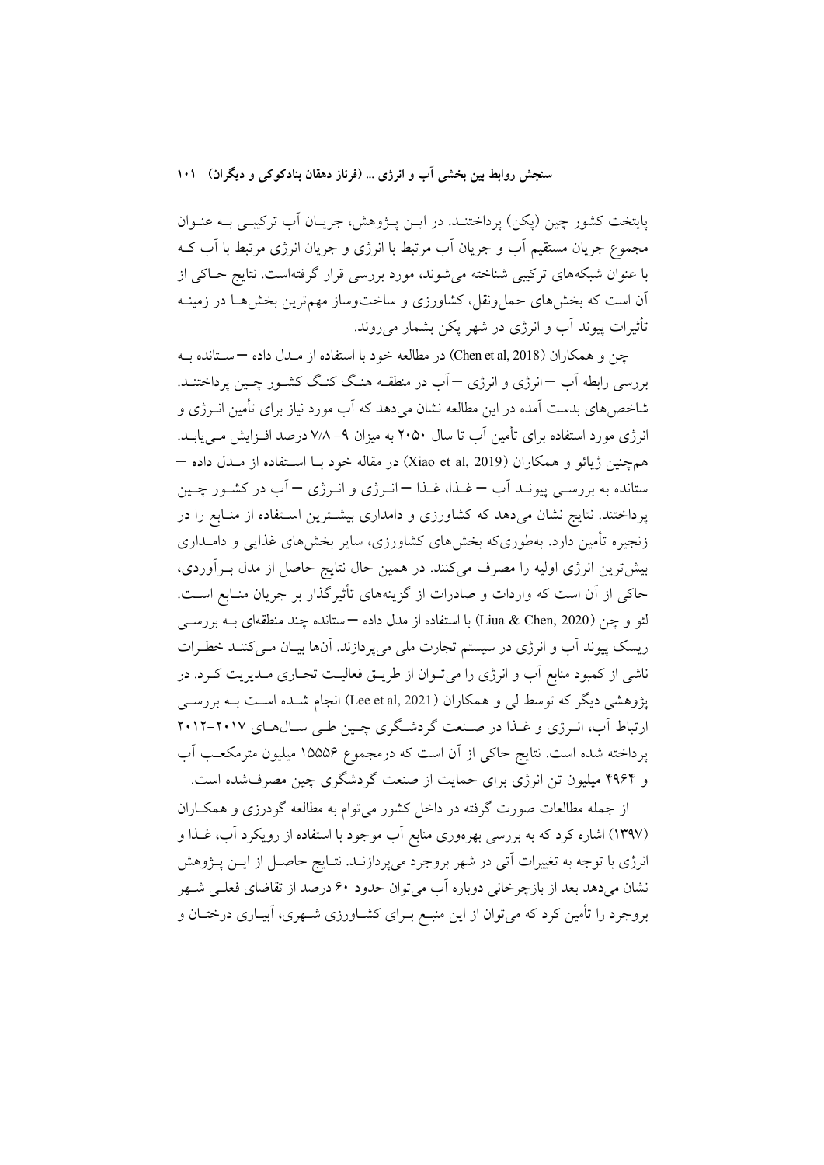پایتخت کشور چین (پکن) پرداختنـد. در ایــن پــژوهش، جریــان آب ترکیبـی بــه عنــوان مجموع جريان مستقيم اَب و جريان اَب مرتبط با انرژي و جريان انرژي مرتبط با اَب کــه با عنوان شبکههای ترکیبی شناخته میشوند، مورد بررسی قرار گرفتهاست. نتایج حـاکی از اّن است که بخشهای حملونقل، کشاورزی و ساختوساز مهم ترین بخشهـا در زمینــه تأثیرات پیوند آب و انرژی در شهر پکن بشمار میروند.

جن و همکاران (Chen et al, 2018) در مطالعه خود با استفاده از مــدل داده —سـتانده بــه بررسی رابطه آب —انرژی و انرژی — آب در منطقــه هنـگ کنـگ کشــور چــین پرداختنــد. شاخص های بدست آمده در این مطالعه نشان می دهد که آب مورد نیاز برای تأمین انــرژی و انرژی مورد استفاده برای تأمین آب تا سال ۲۰۵۰ به میزان ۹– ۷/۸ درصد افـزایش مـی یابــد. همچنین ژیائو و همکاران (Xiao et al, 2019) در مقاله خود بــا اســتفاده از مــدل داده — ستانده به بررســي پيونــد اَب –غــذا، غــذا – انــرژي و انــرژي – اَب در كشــور چــين پرداختند. نتایج نشان میدهد که کشاورزی و دامداری بیشـترین اسـتفاده از منـابع را در زنجیره تأمین دارد. بهطوریکه بخشهای کشاورزی، سایر بخشهای غذایی و دامــداری بیش ترین انرژی اولیه را مصرف می کنند. در همین حال نتایج حاصل از مدل بـرآوردی، حاکی از آن است که واردات و صادرات از گزینههای تأثیرگذار بر جریان منـابع اسـت. لئو و چن (Liua & Chen, 2020) با استفاده از مدل داده —ستانده چند منطقهای بــه بررســـی ریسک پیوند آب و انرژی در سیستم تجارت ملی می پردازند. آنها بیـان مـی کننـد خطـرات ناشی از کمبود منابع آب و انرژی را میتوان از طریــق فعالیــت تجــاری مــدیریت کــرد. در پژوهشی دیگر که توسط لبی و همکاران (Lee et al, 2021) انجام شــده اســت بــه بررســی ارتباط آب، انرژی و غذا در صنعت گردشگری چین طی سالهای ۲۰۱۷-۲۰۱۲ پرداخته شده است. نتایج حاکی از آن است که درمجموع ۱۵۵۵۶ میلیون مترمکعب آب و ۴۹۶۴ میلیون تن انرژی برای حمایت از صنعت گردشگری چین مصرفشده است.

از جمله مطالعات صورت گرفته در داخل کشور می توام به مطالعه گودرزی و همکـاران (۱۳۹۷) اشاره کرد که به بررسی بهرهوری منابع اَب موجود با استفاده از رویکرد اَب، غــذا و انرژی با توجه به تغییرات آتی در شهر بروجرد میپردازنـد. نتـایج حاصـل از ایــن پــژوهش نشان میدهد بعد از بازچرخانی دوباره آب میٍ توان حدود ۶۰ درصد از تقاضای فعلـی شـهر بروجرد را تأمین کرد که می توان از این منبـع بـرای کشــاورزی شــهری، آبیــاری درختــان و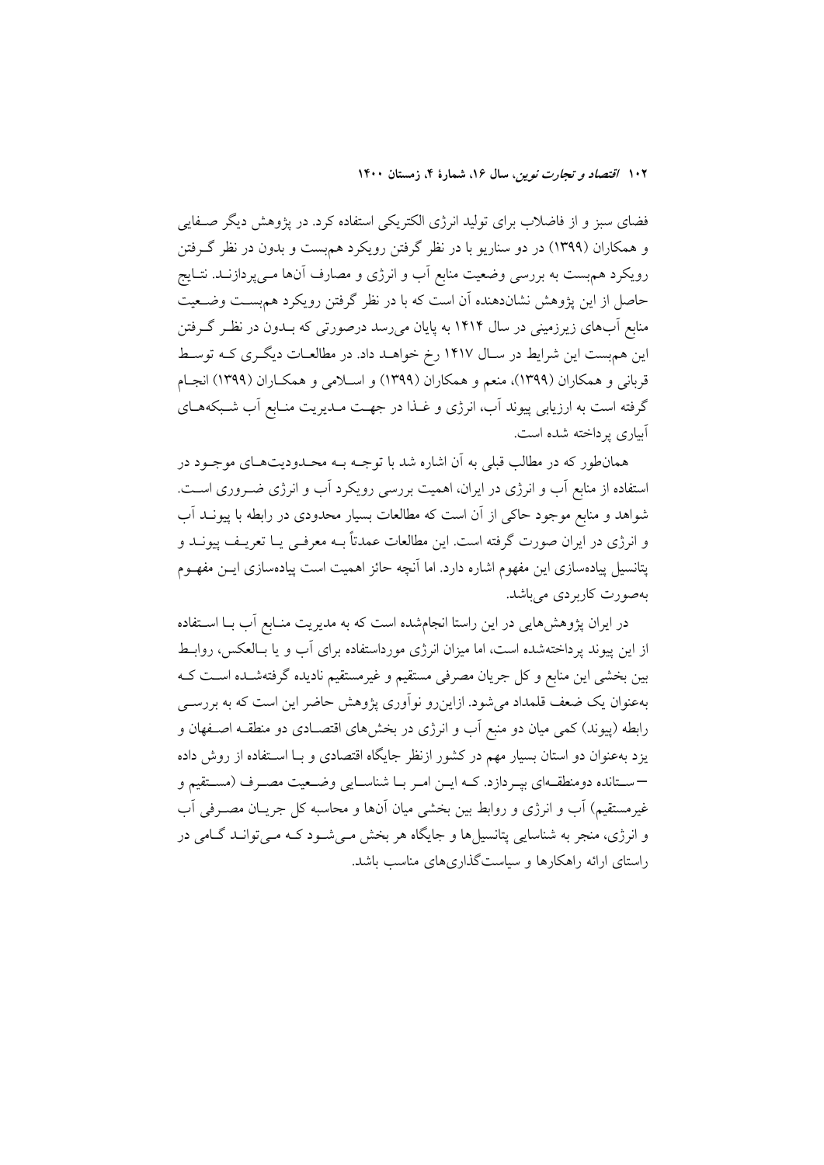فضای سبز و از فاضلاب برای تولید انرژی الکتریکی استفاده کرد. در پژوهش دیگر صـفایی و همکاران (۱۳۹۹) در دو سناریو با در نظر گرفتن رویکرد هم بست و بدون در نظر گرفتن رویکرد همهبست به بررسی وضعیت منابع آب و انرژی و مصارف آنها مـیپردازنــد. نتــایج حاصل از این پژوهش نشاندهنده آن است که با در نظر گرفتن رویکرد هم بست وضـعیت منابع اّبهای زیرزمینی در سال ۱۴۱۴ به پایان می٫رسد درصورتی که بــدون در نظــر گــرفتن این هم بست این شرایط در سـال ۱۴۱۷ رخ خواهـد داد. در مطالعـات دیگـری کـه توسـط قربانی و همکاران (۱۳۹۹)، منعم و همکاران (۱۳۹۹) و اسـلامی و همکـاران (۱۳۹۹) انجـام گرفته است به ارزیابی پیوند آب، انرژی و غـذا در جهـت مـدیریت منـابع اَب شـبکههـای آبیاری پرداخته شده است.

همانطور که در مطالب قبلی به آن اشاره شد با توجـه بـه محـدودیتهـای موجـود در استفاده از منابع آب و انرژی در ایران، اهمیت بررسی رویکرد آب و انرژی ضـروری اسـت. شواهد و منابع موجود حاکی از آن است که مطالعات بسیار محدودی در رابطه با پیونــد آب و انرژی در ایران صورت گرفته است. این مطالعات عمدتاً بــه معرفــی یــا تعریــف پیونــد و پتانسیل پیادهسازی این مفهوم اشاره دارد. اما آنچه حائز اهمیت است پیادهسازی ایــن مفهــوم بهصورت كاربردي مي باشد.

در ایران پژوهشهایی در این راستا انجامشده است که به مدیریت منـابع آب بــا اســتفاده از این پیوند پرداختهشده است، اما میزان انرژی مورداستفاده برای آب و یا بـالعکس، روابـط بین بخشی این منابع و کل جریان مصرفی مستقیم و غیرمستقیم نادیده گرفتهشـده اسـت کـه بهعنوان یک ضعف قلمداد می شود. ازاین رو نوآوری پژوهش حاضر این است که به بررســی رابطه (پیوند) کمی میان دو منبع آب و انرژی در بخشهای اقتصـادی دو منطقــه اصــفهان و یزد بهعنوان دو استان بسیار مهم در کشور ازنظر جایگاه اقتصادی و بــا اســتفاده از روش داده –ستانده دومنطقهاي بپردازد. كـه ايـن امـر بـا شناسـايي وضـعيت مصـرف (مسـتقيم و غيرمستقيم) أب و انرژي و روابط بين بخشي ميان أنها و محاسبه كل جريــان مصــرفي أب و انرژی، منجر به شناسایی پتانسیلها و جایگاه هر بخش مـیشـود کـه مـیتوانـد گـامی در راستای ارائه راهکارها و سیاستگذاریهای مناسب باشد.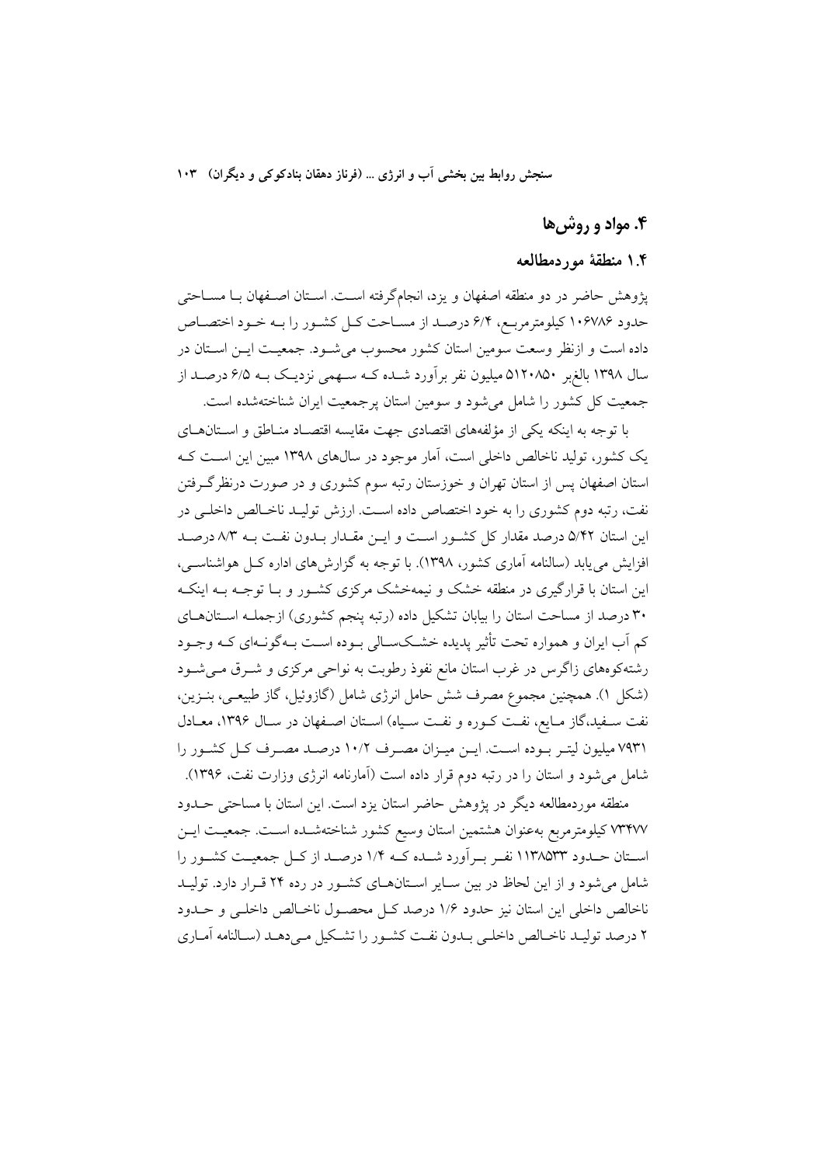## ۴. مواد و روش ها

### ۰.۴ منطقهٔ موردمطالعه

يژوهش حاضر در دو منطقه اصفهان و يزد، انجامگرفته است. اسـتان اصـفهان بـا مســاحتى حدود ۱۰۶۷۸۶ کیلومترمربع، ۶/۴ درصد از مساحت کـل کشـور را بـه خـود اختصـاص داده است و ازنظر وسعت سومین استان کشور محسوب می شـود. جمعیـت ایــن اسـتان در سال ۱۳۹۸ بالغ بر ۵۱۲۰۸۵۰ میلیون نفر برآورد شـده کـه سـهمی نزدیـک بـه ۶/۵ درصـد از جمعیت کل کشور را شامل میشود و سومین استان پرجمعیت ایران شناختهشده است.

با توجه به اینکه یکی از مؤلفههای اقتصادی جهت مقایسه اقتصـاد منـاطق و اسـتانهـای یک کشور، تولید ناخالص داخلی است، آمار موجود در سال های ۱۳۹۸ مبین این اسـت کـه استان اصفهان پس از استان تهران و خوزستان رتبه سوم کشوری و در صورت درنظر گـرفتن نفت، رتبه دوم کشوری را به خود اختصاص داده است. ارزش تولیـد ناخـالص داخلـی در این استان ۵/۴۲ درصد مقدار کل کشـور اسـت و ایـن مقـدار بـدون نفـت بـه ۸/۳ درصـد افزایش می یابد (سالنامه آماری کشور، ۱۳۹۸). با توجه به گزارشهای اداره کـل هواشناسـی، این استان با قرارگیری در منطقه خشک و نیمهخشک مرکزی کشـور و بـا توجـه بـه اینکـه ۳۰ درصد از مساحت استان را بیابان تشکیل داده (رتبه پنجم کشوری) ازجملـه اسـتانهـای کم آب ایران و همواره تحت تأثیر پدیده خشکسـالی بـوده اسـت بـهگونـهای کـه وجـود رشتهکوههای زاگرس در غرب استان مانع نفوذ رطوبت به نواحی مرکزی و شـرق مـیشـود (شکل ۱). همچنین مجموع مصرف شش حامل انرژی شامل (گازوئیل، گاز طبیعـی، بنـزین، نفت سـفيد،گاز مـايع، نفـت كـوره و نفـت سـياه) اسـتان اصـفهان در سـال ۱۳۹۶، معـادل ۷۹۳۱ میلیون لیتـر بـوده اسـت. ایـن میـزان مصـرف ۱۰/۲ درصـد مصـرف کـل کشـور را شامل می شود و استان را در رتبه دوم قرار داده است (آمارنامه انرژی وزارت نفت، ۱۳۹۶).

منطقه موردمطالعه ديگر در پژوهش حاضر استان يزد است. اين استان با مساحتى حــدود ٧٣٢٧٧ كيلومترمربع بهعنوان هشتمين استان وسيع كشور شناختهشـده اسـت. جمعيـت ايــن اسـتان حــدود ١١٣٨٥٣٣ نفــر بــراَورد شــده كــه ١/٤ درصــد از كــل جمعيــت كشــور را شامل می شود و از این لحاظ در بین سایر استانهای کشور در رده ۲۴ قرار دارد. تولیـد ناخالص داخلي اين استان نيز حدود ١/۶ درصد كـل محصـول ناخـالص داخلـي و حــدود ۲ درصد تولیـد ناخـالص داخلـي بـدون نفـت كشـور را تشـكيل مـيدهـد (سـالنامه أمـاري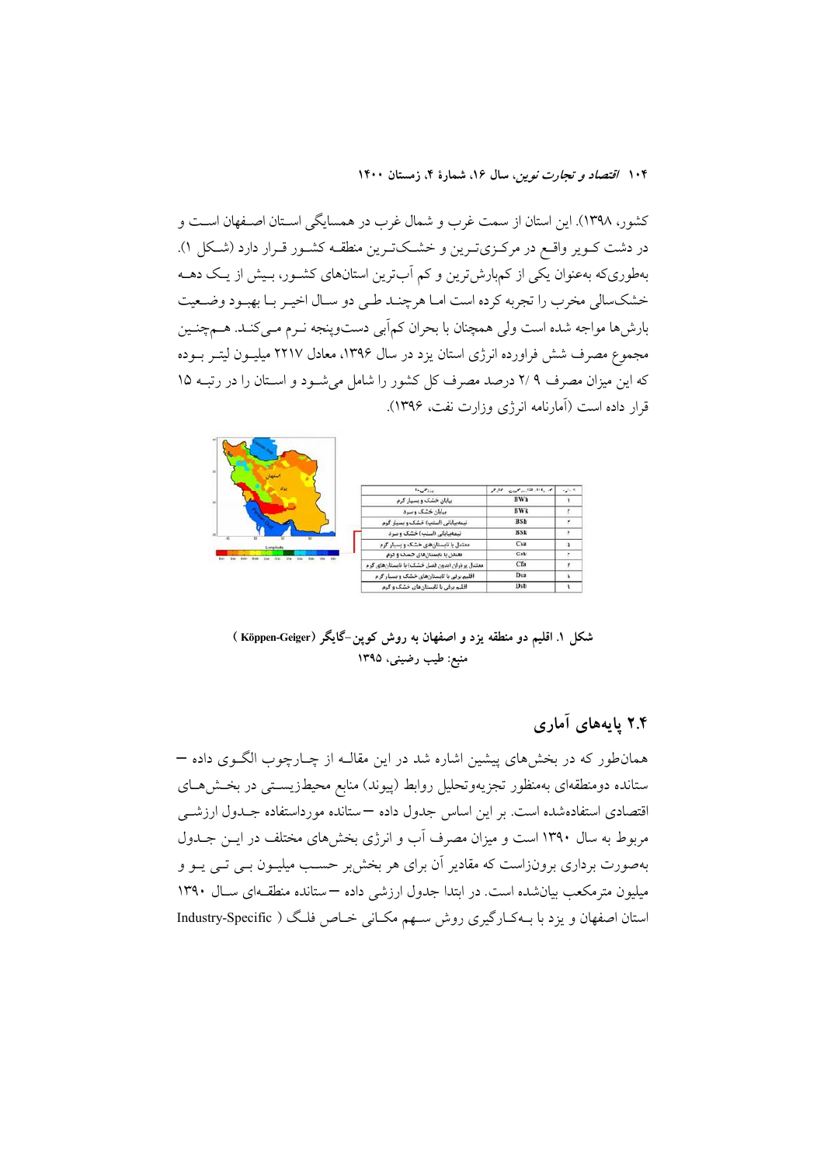كشور، ١٣٩٨). اين استان از سمت غرب و شمال غرب در همسايگي اسـتان اصـفهان اسـت و در دشت کــویر واقــع در مرکــزیتــرین و خشــکتــرین منطقــه کشــور قــرار دارد (شــکل ۱). بهطوریکه بهعنوان یکی از کمبارش ترین و کم اَبترین استانهای کشـور، بـیش از یـک دهــه خشکسالی مخرب را تجربه کرده است امـا هرچنـد طـی دو سـال اخیـر بـا بهبـود وضـعیت بارش ها مواجه شده است ولي همچنان با بحران كم آبي دستوينجه نـرم مـي كنـد. هــمچنـين مجموع مصرف شش فراورده انرژی استان یزد در سال ۱۳۹۶، معادل ۲۲۱۷ میلیـون لیتـر بــوده که این میزان مصرف ۲/۹ درصد مصرف کل کشور را شامل می شـود و اسـتان را در رتبـه ۱۵ قرار داده است (آمارنامه انرژی وزارت نفت، ۱۳۹۶).



شکل ۱. اقلیم دو منطقه یزد و اصفهان به روش کوپن-گایگر (Köppen-Geiger) منبع: طیب رضینی، ۱۳۹۵

## ۲.۴ پایههای آماری

همان طور که در بخشهای پیشین اشاره شد در این مقالـه از چـارچوب الگـوی داده – ستانده دومنطقهای بهمنظور تجزیهوتحلیل روابط (پیوند) منابع محیطزیستی در بخشهای اقتصادی استفادهشده است. بر این اساس جدول داده –ستانده مورداستفاده جلدول ارزشمی مربوط به سال ۱۳۹۰ است و میزان مصرف آب و انرژی بخشهای مختلف در ایــن جــدول بهصورت برداری برونزاست که مقادیر آن برای هر بخش بر حسـب میلیــون بــی تــی یــو و میلیون مترمکعب بیانشده است. در ابتدا جدول ارزشی داده — ستانده منطقهای سال ۱۳۹۰ استان اصفهان و یزد با بـهکـارگیری روش سـهم مکـانی خـاص فلـگ ( Industry-Specific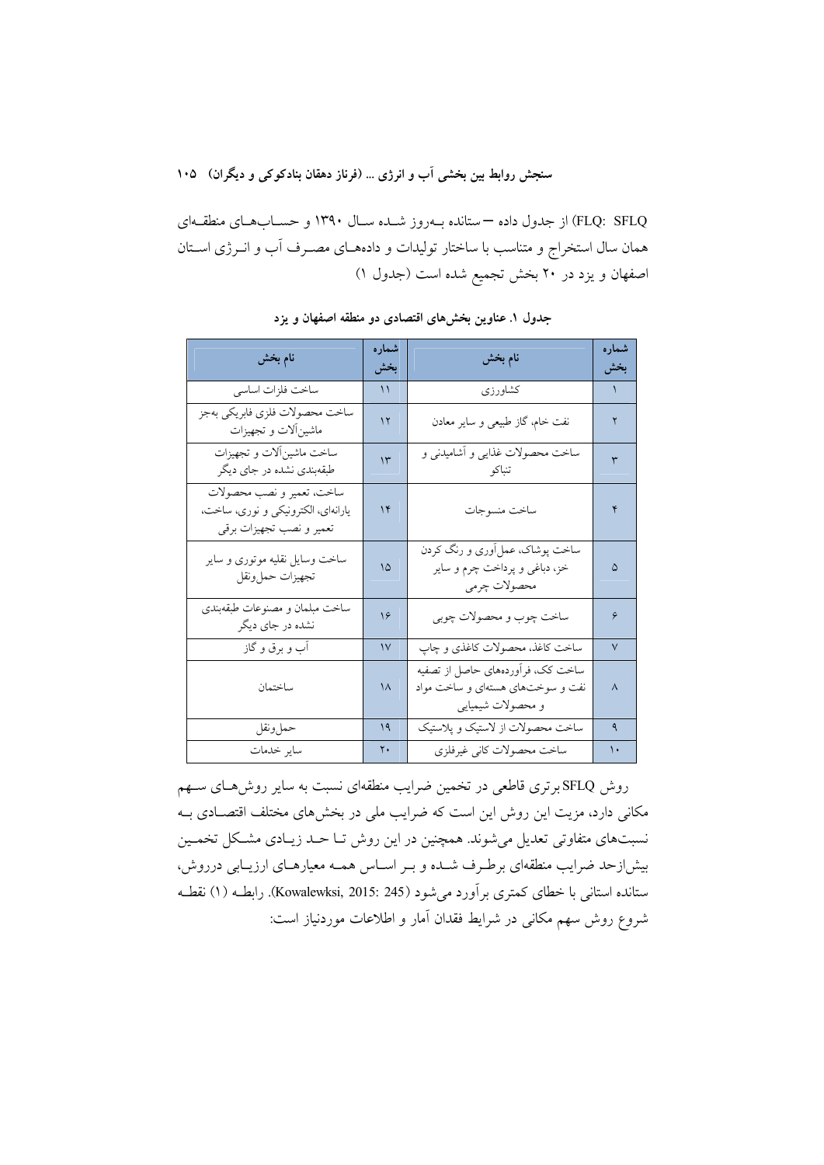FLQ: SFLQ) از جدول داده —ستانده بـهروز شـده سـال ۱۳۹۰ و حسـابهـاي منطقـهاي همان سال استخراج و متناسب با ساختار تولیدات و دادههـای مصـرف آب و انــرژی اســتان اصفهان و یزد در ۲۰ بخش تجمیع شده است (جدول ۱)

| نام بخش                                                                                     | شمار ه<br>بخش | نام بخش                                                                                    | شمار ه<br>بخش |  |  |  |
|---------------------------------------------------------------------------------------------|---------------|--------------------------------------------------------------------------------------------|---------------|--|--|--|
| ساخت فلزات اساسى                                                                            | ۱۱            | كشاورزى                                                                                    | $\mathcal{L}$ |  |  |  |
| ساخت محصولات فلزى فابريكي بهجز<br>ماشینألات و تجهیزات                                       | $\mathcal{N}$ | نفت خام، گاز طبیعی و سایر معادن                                                            | ٢             |  |  |  |
| ساخت ماشين آلات وتجهيزات<br>طبقهبندی نشده در جای دیگر                                       | $\mathcal{N}$ | ساخت محصولات غذایی و آشامیدنی و<br>تنباكو                                                  | ٣             |  |  |  |
| ساخت، تعمير و نصب محصولات<br>یارانهای، الکترونیکی و نوری، ساخت،<br>تعمير و نصب تجهيزات برقي | $\mathcal{N}$ | ساخت منسوجات                                                                               | ۴             |  |  |  |
| ساخت وسایل نقلیه موتوری و سایر<br>تجهيزات حملونقل                                           | ۱۵            | ساخت پوشاک، عمل آوری و رنگ کردن<br>خز، دباغی و پرداخت چرم و سایر<br>محصولات چرمى           | ۵             |  |  |  |
| ساخت مبلمان و مصنوعات طبقهبندی<br>نشده در جای دیگر                                          | ۱۶            | ساخت چوب و محصولات چوبي                                                                    | ۶             |  |  |  |
| آب و برق و گاز                                                                              | $\mathcal{V}$ | ساخت كاغذ، محصولات كاغذى و چاپ                                                             | $\sqrt{ }$    |  |  |  |
| ساختمان                                                                                     | $\lambda$     | ساخت کک، فرآوردههای حاصل از تصفیه<br>نفت و سوختهای هستهای و ساخت مواد<br>و محصولات شیمیایی | $\lambda$     |  |  |  |
| حملونقل                                                                                     | 19            | ساخت محصولات از لاستیک و پلاستیک                                                           | ٩             |  |  |  |
| ساير خدمات                                                                                  | ٢.            | ساخت محصولات كاني غيرفلزي                                                                  | ١.            |  |  |  |

جدول ۱. عناوین بخشهای اقتصادی دو منطقه اصفهان و یزد

روش SFLQ برتری قاطعی در تخمین ضرایب منطقهای نسبت به سایر روشهای سـهم مکانی دارد، مزیت این روش این است که ضرایب ملی در بخشهای مختلف اقتصـادی بـه نسبتهای متفاوتی تعدیل می شوند. همچنین در این روش تــا حــد زیــادی مشــکل تخمــین بیش|زحد ضرایب منطقهای برطـرف شـده و بـر اسـاس همـه معیارهـای ارزیـابی درروش، ستانده استانی با خطای کمتری برآورد میشود (Kowalewksi, 2015: 245). رابطـه (۱) نقطـه شروع روش سهم مكانى در شرايط فقدان آمار و اطلاعات موردنياز است: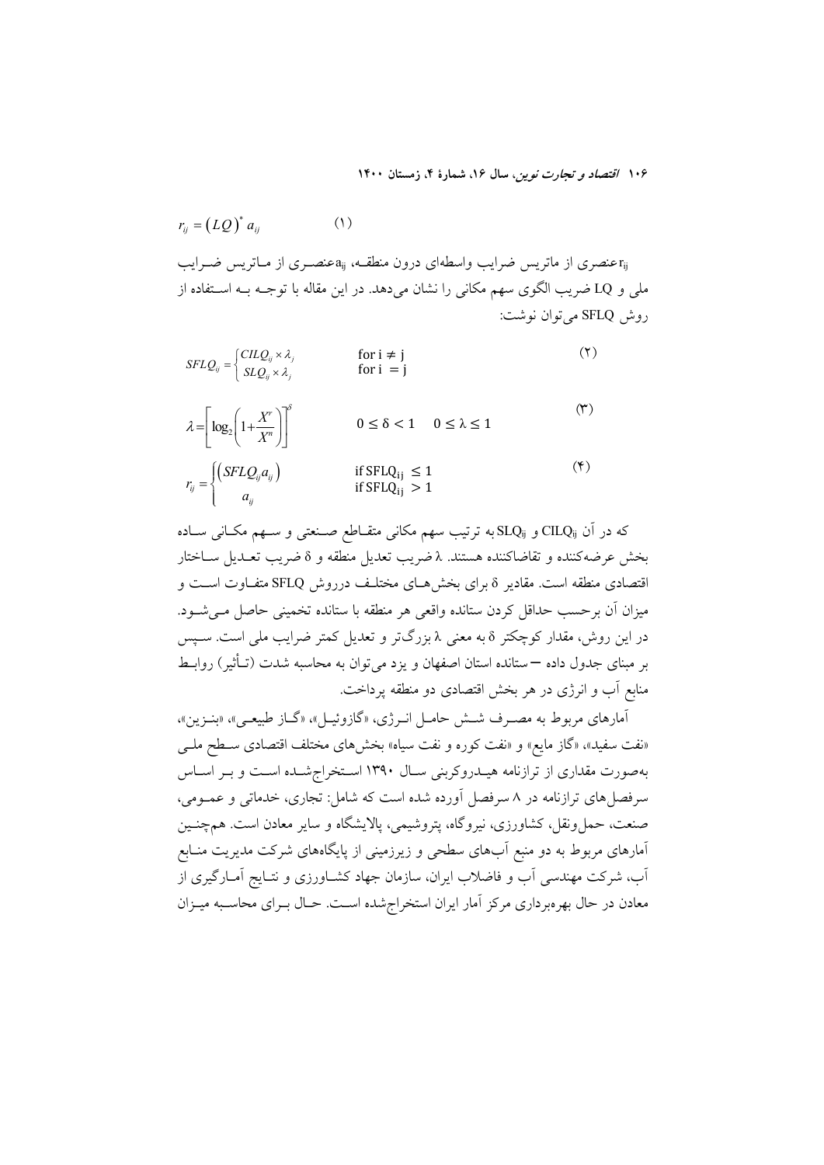$$
r_{ij} = (LQ)^* a_{ij} \tag{1}
$$

تخصری از ماتریس ضرایب واسطهای درون منطقـه،  $a_{\rm ij}$ عنصـری از مــاتریس ضــرایب P ملی و LQ ضریب الگوی سهم مکانی را نشان میدهد. در این مقاله با توجــه بــه اســتفاده از روش SFLQ می توان نوشت:

$$
SFLQ_{ij} = \begin{cases} CILQ_{ij} \times \lambda_j & \text{for } i \neq j \\ SLQ_{ij} \times \lambda_j & \text{for } i = j \end{cases}
$$
 (7)  

$$
\lambda = \left[ \log_2 \left( 1 + \frac{X^r}{X^n} \right) \right]^\delta & 0 \le \delta < 1 \quad 0 \le \lambda \le 1
$$

$$
r_{ij} = \begin{cases} \left( \text{SFLQ}_{ij} a_{ij} \right) & \text{if } \text{SFLQ}_{ij} \le 1\\ a_{ij} & \text{if } \text{SFLQ}_{ij} > 1 \end{cases} \tag{\text{F}}
$$

كه در آن CILQ<sub>ij</sub> و SLQ<sub>ij</sub>به ترتيب سهم مكاني متقــاطع صــنعتي و ســهم مكــاني ســاده بخش عرضه كننده و تقاضاكننده هستند. ٨ ضريب تعديل منطقه و 8 ضريب تعـديل ســاختار اقتصادی منطقه است. مقادیر 8 برای بخش هـای مختلـف درروش SFLQ متفـاوت اسـت و میزان آن برحسب حداقل کردن ستانده واقعی هر منطقه با ستانده تخمینی حاصل مـیشـود. در این روش، مقدار کوچکتر 8 به معنی ۸ بزرگتر و تعدیل کمتر ضرایب ملی است. سـپس بر مبنای جدول داده —ستانده استان اصفهان و یزد میتوان به محاسبه شدت (تـأثیر) روابـط منابع اَب و انرژی در هر بخش اقتصادی دو منطقه پرداخت.

آمارهای مربوط به مصـرف شـش حامـل انـرژي، «گازوئيـل»، «گـاز طبيعـي»، «بنـزين»، «نفت سفید»، «گاز مایع» و «نفت کوره و نفت سیاه» بخشهای مختلف اقتصادی سـطح ملـی بهصورت مقداری از ترازنامه هیــدروکربنی ســال ۱۳۹۰ اســتخراج شــده اســت و بــر اســاس سرفصل های ترازنامه در ۸ سرفصل آورده شده است که شامل: تجاری، خدماتی و عمــومی، صنعت، حمل ونقل، کشاورزی، نیروگاه، پتروشیمی، پالایشگاه و سایر معادن است. همچنـین آمارهای مربوط به دو منبع آبهای سطحی و زیرزمینی از پایگاههای شرکت مدیریت منـابع آب، شرکت مهندسی آب و فاضلاب ایران، سازمان جهاد کشـاورزی و نتـایج آمـارگیری از معادن در حال بهرهبرداری مرکز آمار ایران استخراج شده است. حـال بـرای محاسـبه میــزان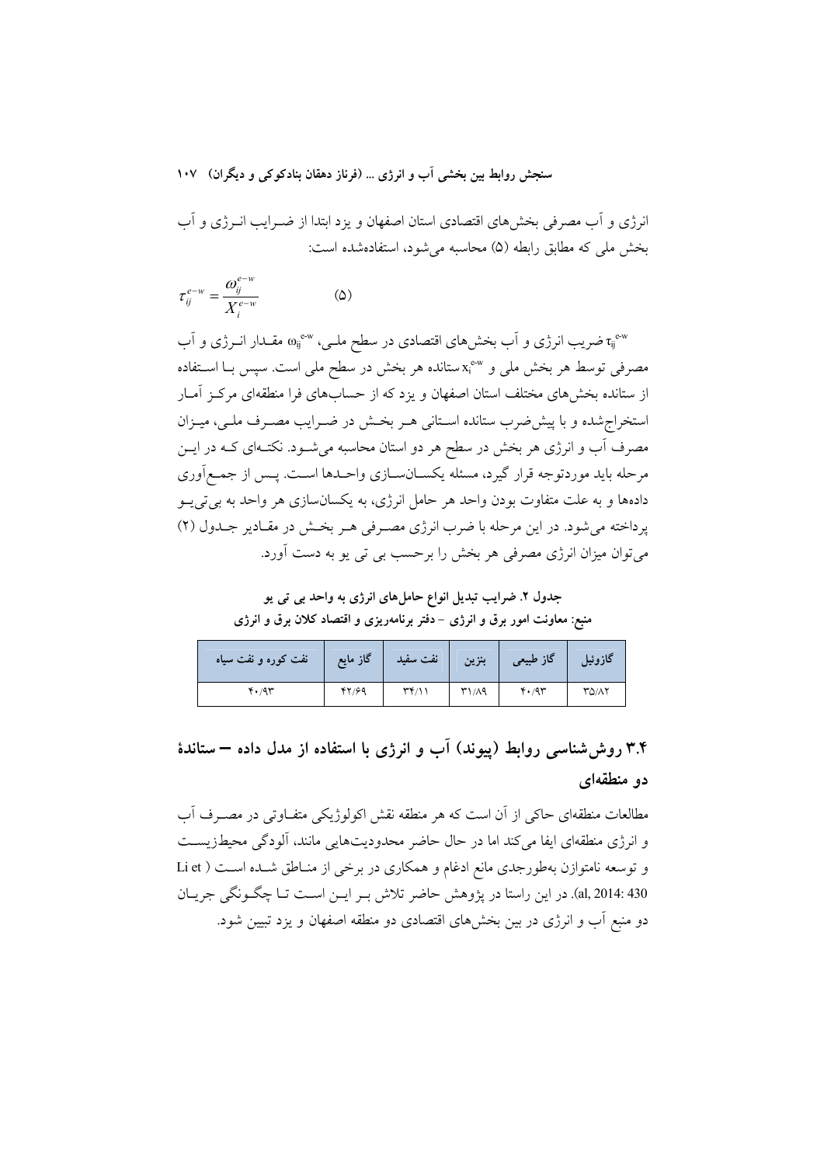انرژی و آب مصرفی بخشهای اقتصادی استان اصفهان و یزد ابتدا از ضـرایب انــرژی و آب بخش ملی که مطابق رابطه (۵) محاسبه می شود، استفادهشده است:

$$
\tau_{ij}^{e-w} = \frac{\omega_{ij}^{e-w}}{X_i^{e-w}}
$$
 (2)

تریب انرژی و آب بخشهای اقتصادی در سطح ملـی، «۵۰ مقـدار انــرژی و آب $\tau_{ij}^{\text{e-w}}$ مصرفی توسط هر بخش ملی و «×ٌk"ستانده هر بخش در سطح ملی است. سپس بــا اســتفاده از ستانده بخشهای مختلف استان اصفهان و یزد که از حسابهای فرا منطقهای مرکـز آمـار استخراج شده و با پیش ضرب ستانده اسـتانی هـر بخـش در ضـرایب مصـرف ملـی، میـزان مصرف آب و انرژی هر بخش در سطح هر دو استان محاسبه می شـود. نکتـهای کـه در ایــن مرحله باید موردتوجه قرار گیرد، مسئله یکســانســازی واحــدها اســت. پــس از جمــع|َوری دادهها و به علت متفاوت بودن واحد هر حامل انرژی، به یکسانسازی هر واحد به بی تی یــو یر داخته می شود. در این مرحله با ضرب انرژی مصـرفی هـر بخـش در مقـادیر جـدول (۲) می توان میزان انرژی مصرفی هر پخش را برحسب پی تی بو به دست آورد.

جدول ۲. ضرایب تبدیل انواع حاملهای انرژی به واحد بی تی یو

منبع: معاونت امور برق و انرژی –دفتر برنامهریزی و اقتصاد کلان برق و انرژی

| نفت کوره و نفت سیاه | گاز مايع | نفت سفيد     | بنزين | گاز طبیعی | گازوئیل |
|---------------------|----------|--------------|-------|-----------|---------|
| 4.44                | 47/99    | $\mathbf{r}$ | ۳۱/۸۹ | 4.4       | ۳۵/۸۲   |

## ۳.۴ روش شناسی روابط (پیوند) آب و انرژی با استفاده از مدل داده – ستاندهٔ دو منطقهای

مطالعات منطقهای حاکی از آن است که هر منطقه نقش اکولوژیکی متفـاوتی در مصـرف آب و انرژی منطقهای ایفا می کند اما در حال حاضر محدودیتهایی مانند، آلودگی محیطزیست و توسعه نامتوازن بهطورجدي مانع ادغام و همكاري در برخي از منـاطق شـده اسـت ( Li et al, 2014: 430). در این راستا در یژوهش حاضر تلاش بـر ایـن اسـت تـا چگـونگی جریـان دو منبع اَب و انرژی در بین بخشهای اقتصادی دو منطقه اصفهان و یزد تبیین شود.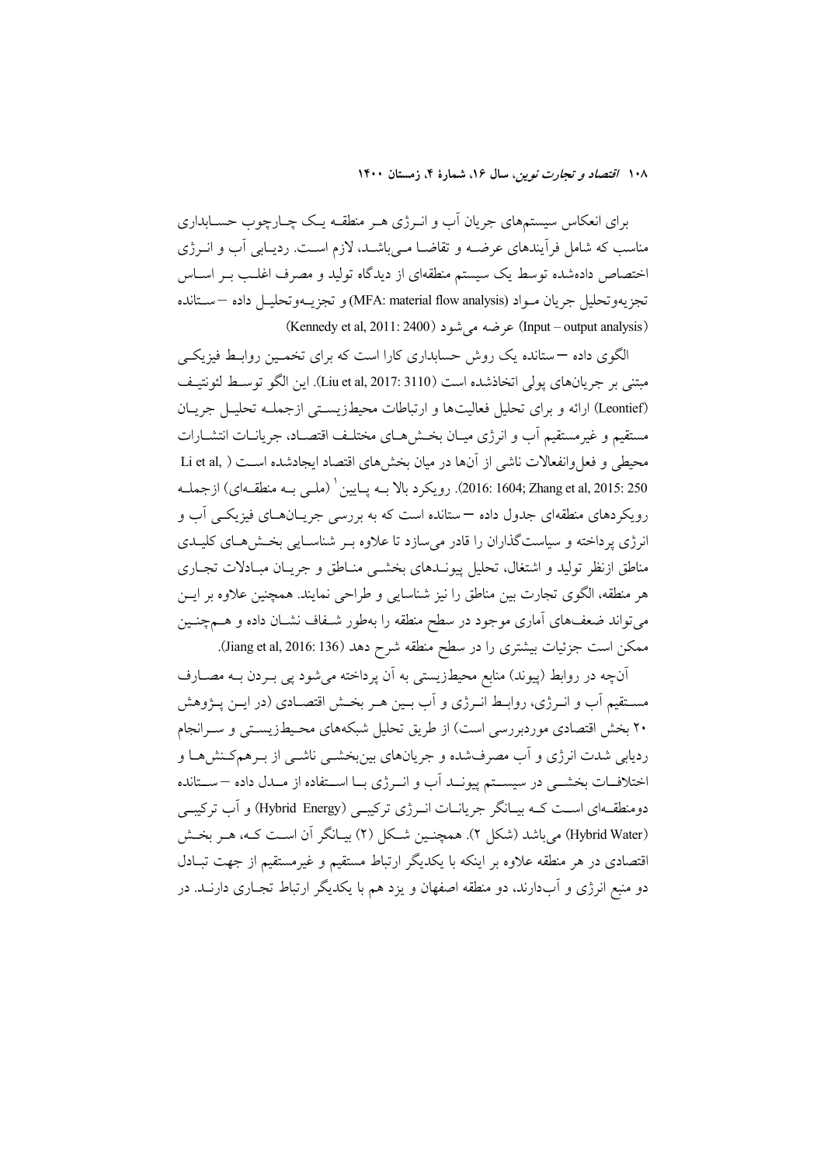برای انعکاس سیستمهای جریان آب و انــرژی هــر منطقــه یــک چــارچوب حســابداری مناسب که شامل فرآیندهای عرضــه و تقاضــا مــیباشــد. لازم اســت. ردیــابی آب و انــرژی اختصاص دادهشده توسط یک سیستم منطقهای از دیدگاه تولید و مصرف اغلـب بـر اســاس تجزيهوتحليل جريان مــواد (MFA: material flow analysis) و تجزيـــهوتحليــل داده –سـتانده (Input – output analysis) عرضه می شود (Kennedy et al, 2011: 2400)

الگوی داده –ستانده یک روش حسابداری کارا است که برای تخمـین روابـط فیزیکـی مبتني بر جريانهاي يولي اتخاذشده است (Liu et al, 2017: 3110). اين الگو توسـط لئونتيـف (Leontief) ارائه و برای تحلیل فعالیتها و ارتباطات محیطزیستی ازجملـه تحلیـل جریـان مستقيم و غيرمستقيم أب و انرژى ميـان بخــش٨هـاي مختلـف اقتصـاد، جريانــات انتشــارات محيطي و فعل وانفعالات ناشي از آنها در ميان بخش هاي اقتصاد ابجادشده است ( .Li et al 250 :2015 :2604; Zhang et al, 2015). رويكرد بالا بــه يـايين ` (ملــي بــه منطقــهاي) ازجملــه رویکردهای منطقهای جدول داده —ستانده است که به بررسی جریـانهـای فیزیکــی آب و انرژی پرداخته و سیاستگذاران را قادر میسازد تا علاوه بـر شناسـایی بخـش۵حـای کلیـدی مناطق ازنظر تولید و اشتغال، تحلیل پیونــدهای بخشــی منــاطق و جریــان مبــادلات تجــاری هر منطقه، الگوی تجارت بین مناطق را نیز شناسایی و طراحی نمایند. همچنین علاوه بر ایــن میتواند ضعفهای آماری موجود در سطح منطقه را بهطور شـفاف نشـان داده و هــمچنــین ممکن است جزئیات بیشتری را در سطح منطقه شرح دهد (Jiang et al, 2016: 136).

اّنچه در روابط (پیوند) منابع محیطزیستی به اّن پرداخته میشود پی بـردن بــه مصــارف مســتقيم اَب و انــرژي، روابــط انــرژي و اَب بــين هــر بخــش اقتصــادي (در ايــن پــژوهش ۲۰ بخش اقتصادی موردبررسی است) از طریق تحلیل شبکههای محیطزیستی و سـرانجام ردیابی شدت انرژی و اَب مصرفشده و جریانهای بینبخشــی ناشــی از بــرهمکـنش۵ــا و اختلافــات بخشـــي در سيســـتم پيونـــد اَب و انـــرژی بـــا اســـتفاده از مـــدل داده —ســـتانده دومنطقـهای اســت کــه بیــانگر جریانــات انــرژی ترکیبــی (Hybrid Energy) و آب ترکیبــی (Hybrid Water) میباشد (شکل ۲). همچنین شکل (۲) بیـانگر آن اسـت کـه، هـر بخـش اقتصادی در هر منطقه علاوه بر اینکه با یکدیگر ارتباط مستقیم و غیرمستقیم از جهت تبـادل دو منبع انرژی و آبدارند، دو منطقه اصفهان و یزد هم با یکدیگر ارتباط تجـاری دارنــد. در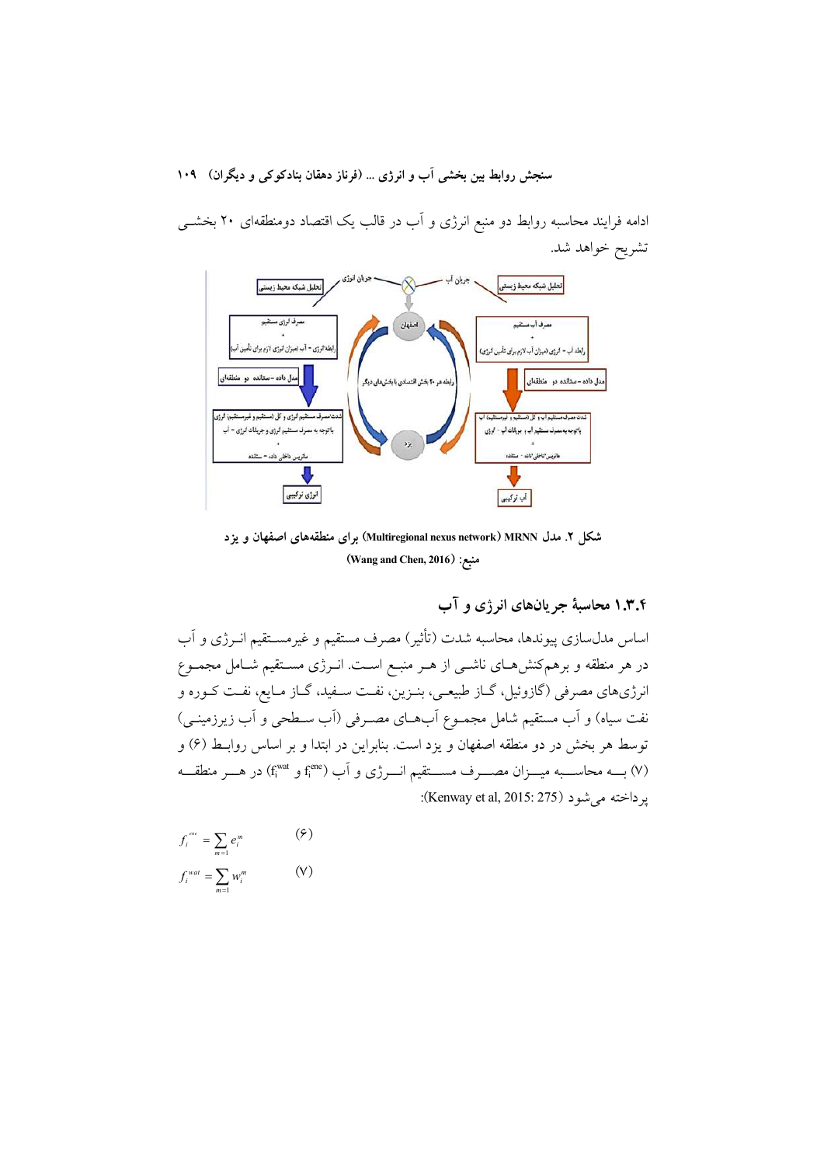ادامه فرایند محاسبه روابط دو منبع انرژی و آب در قالب یک اقتصاد دومنطقهای ۲۰ بخشــی تشريح خواهد شد.



شکل ۲. مدل Multiregional nexus network) MRNN) برای منطقههای اصفهان و یزد (Wang and Chen, 2016) منبع:

۰.۳.۴ محاسبهٔ جریانهای انرژی و آب

اساس مدلسازی پیوندها، محاسبه شدت (تأثیر) مصرف مستقیم و غیرمسـتقیم انــرژی و آب در هر منطقه و برهمکنشهای ناشــی از هــر منبــع اســت. انــرژی مســتقیم شــامل مجمــوع انرژیهای مصرفی (گازوئیل، گــاز طبیعــی، بنــزین، نفــت ســفید، گــاز مــایع، نفــت کــوره و نفت سیاه) و آب مستقیم شامل مجمــوع اّبهــای مصــرفی (اّب ســطحی و اّب زیرزمینــی) توسط هر بخش در دو منطقه اصفهان و یزد است. بنابراین در ابتدا و بر اساس روابـط (۶) و (۷) بسه محاســـبه میـــزان مصـــرف مســـتقیم انـــرژی و آب (fi<sup>one</sup> و f<sub>i</sub><sup>one</sup>) در هـــر منطقـــه ير داخته مي شو د (Kenway et al, 2015: 275):

$$
f_i^{euc} = \sum_{m=1} e_i^m
$$
 (9)  

$$
f_i^{wat} = \sum_{m=1} w_i^m
$$
 (9)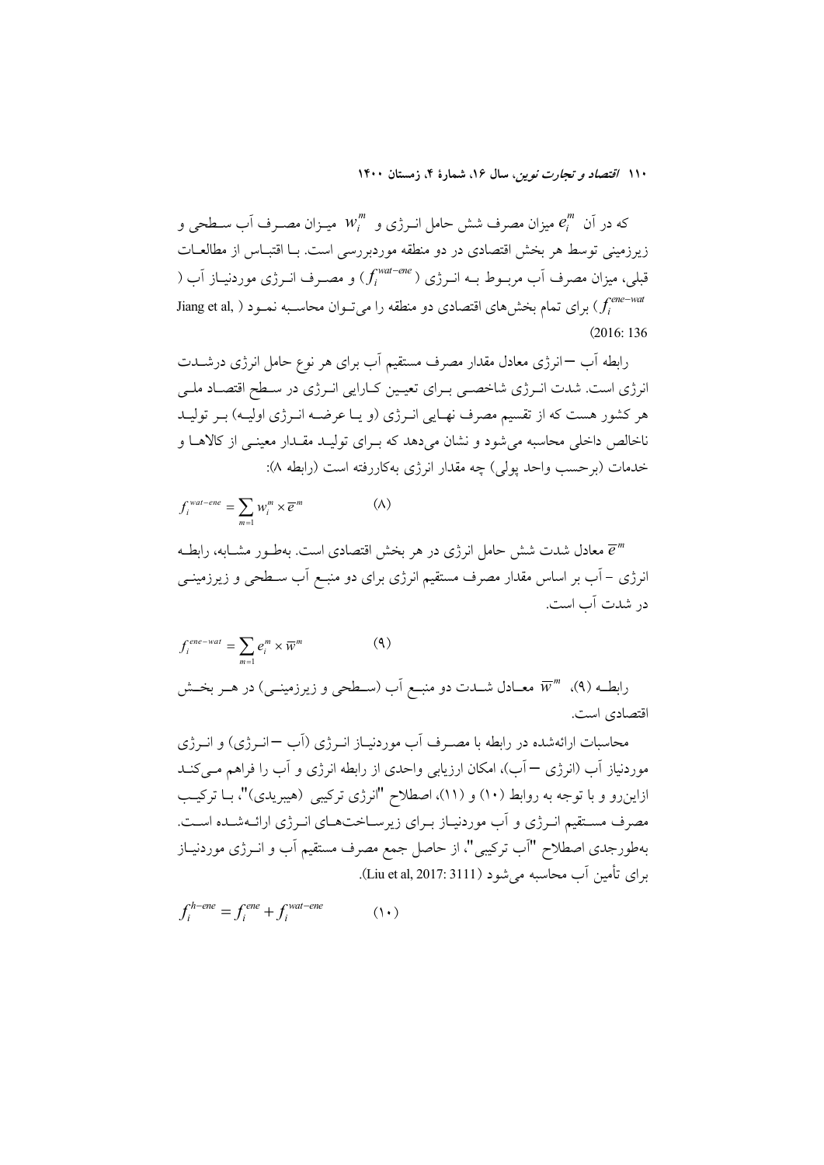که در آن  $e_i^m$  میزان مصرف شش حامل انــرژی و  $w_i^m$  میــزان مصــرف آب ســطحی و زیرزمینی توسط هر بخش اقتصادی در دو منطقه موردبررسی است. بــا اقتبــاس از مطالعــات قبلی، میزان مصرف آب مربــوط بــه انــرژی ( fi<sup>wat–ene</sup>) و مصــرف انــرژی موردنیــاز آب ( Jiang et al, ) برای تمام بخشهای اقتصادی دو منطقه را میتوان محاسـبه نمـود ( ,Jiang et al  $(2016:136)$ 

رابطه أب —انرژی معادل مقدار مصرف مستقیم أب برای هر نوع حامل انرژی درشــدت انرژی است. شدت انـرژی شاخصـی بـرای تعیـین کـارایی انـرژی در سـطح اقتصـاد ملـی هر کشور هست که از تقسیم مصرف نهـایی انـرژی (و یـا عرضـه انـرژی اولیـه) بـر تولیـد ناخالص داخلی محاسبه می شود و نشان میدهد که بـرای تولیـد مقـدار معینـی از کالاهـا و خدمات (بوحسب وإحد يولى) چه مقدار انرژى بهكاررفته است (رابطه ٨):

$$
f_i^{wat-ene} = \sum_{m=1} w_i^m \times \overline{e}^m \tag{A}
$$

معادل شدت شش حامل انرژی در هر بخش اقتصادی است. بهطـور مشــابه، رابطــه  $\overline{e}^m$ انرژی – آب بر اساس مقدار مصرف مستقیم انرژی برای دو منبـع آب سـطحی و زیرزمینــی در شدت آب است.

$$
f_i^{ene-wat} = \sum_{m=1}^{\infty} e_i^m \times \overline{w}^m
$$
\n(4)\n
$$
\text{(4)}
$$
\n
$$
\text{(9)}
$$
\n
$$
\overline{w}^m \cdot (4)
$$
\n
$$
\text{(1)}
$$
\n
$$
\text{(2)}
$$
\n
$$
\overline{w}^m \cdot (4)
$$
\n
$$
\text{(3)}
$$
\n
$$
\text{(4)}
$$
\n
$$
\text{(5)}
$$

محاسبات ارائهشده در رابطه با مصـرف آب موردنیـاز انــرژی (آب −انــرژی) و انــرژی موردنیاز آب (انرژی — آب)، امکان ارزیابی واحدی از رابطه انرژی و آب را فراهم مـی کنــد ازاینرو و با توجه به روابط (۱۰) و (۱۱)، اصطلاح "انرژی ترکیبی (هیبریدی)"، بـا ترکیـب مصرف مستقیم انرژی و آب موردنیـاز بـرای زیرسـاختهـای انـرژی ارائـهشـده اسـت. بهطورجدی اصطلاح "آب ترکیبی"، از حاصل جمع مصرف مستقیم آب و انــرژی موردنیــاز برای تأمین آب محاسبه می شود (Liu et al, 2017: 3111).

$$
f_i^{h-ene} = f_i^{ene} + f_i^{wat-ene}
$$
 (1.)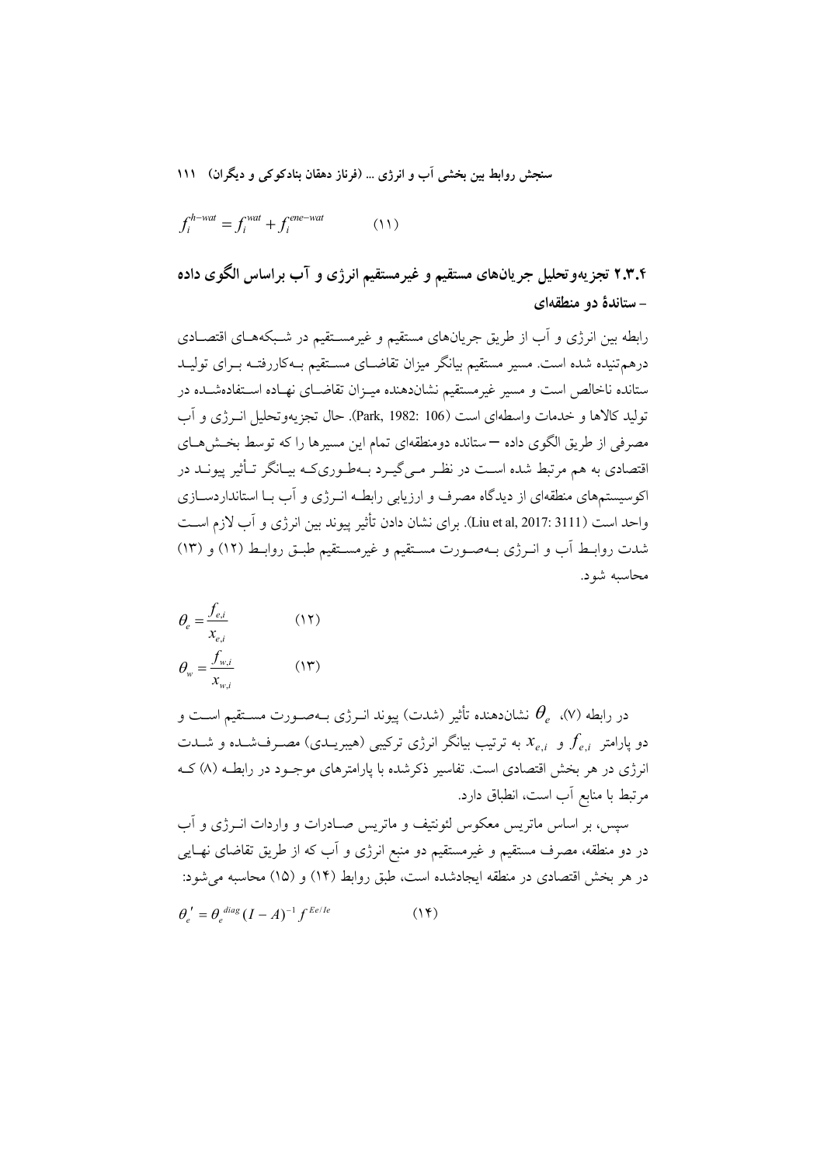$$
f_i^{h-wat} = f_i^{wat} + f_i^{ene-wat} \tag{11}
$$

۲.۳.۴ تجزیهوتحلیل جریانهای مستقیم و غیرمستقیم انرژی و آب براساس الگوی داده - ستاندهٔ دو منطقهای

رابطه بین انرژی و آب از طریق جریانهای مستقیم و غیرمسـتقیم در شـبکههـای اقتصـادی درهم تنیده شده است. مسیر مستقیم بیانگر میزان تقاضـای مسـتقیم بـهکاررفتـه بــرای تولیــد ستانده ناخالص است و مسیر غیرمستقیم نشاندهنده میـزان تقاضـای نهـاده اسـتفادهشـده در توليد كالاها و خدمات واسطهاى است (Park, 1982: 106). حال تجزيهوتحليل انبرژي و آب مصرفی از طریق الگوی داده —ستانده دومنطقهای تمام این مسیرها را که توسط بخــشهــای اقتصادی به هم مرتبط شده اسـت در نظـر مـیگیـرد بــهطـوریکـه بیــانگر تــأثیر پیونــد در اکوسیستمهای منطقهای از دیدگاه مصرف و ارزیابی رابطـه انـرژی و آب بـا استانداردســازی واحد است (Liu et al, 2017: 3111). براي نشان دادن تأثير پيوند بين انرژي و آب لازم اسـت شدت روابط آب و انرژی بهصورت مستقیم و غیرمستقیم طبق روابط (١٢) و (١٣) محاسبه شود.

$$
\theta_e = \frac{f_{e,i}}{x_{e,i}} \tag{17}
$$
\n
$$
\theta_w = \frac{f_{w,i}}{x_{w,i}} \tag{17}
$$

در رابطه (۷).  $\theta_e$  نشاندهنده تأثير (شدت) پيوند انــرژي بــهصــورت مســتقيم اســت و دو پارامتر  $f_{e.i}$  و  $x_{e.i}$  به ترتیب بیانگر انرژی ترکیبی (هیبریــدی) مصــرفـشــده و شــدت انرژی در هر بخش اقتصادی است. تفاسیر ذکرشده با پارامترهای موجـود در رابطـه (۸) کـه مرتبط با منابع آب است، انطباق دارد.

سیس، بر اساس ماتریس معکوس لئونتیف و ماتریس صـادرات و واردات انــرژی و آب در دو منطقه، مصرف مستقیم و غیرمستقیم دو منبع انرژی و آب که از طریق تقاضای نهـایی در هر بخش اقتصادی در منطقه ایجادشده است، طبق روابط (۱۴) و (۱۵) محاسبه می شود:  $\theta'_a = \theta_a^{diag} (I - A)^{-1} f^{Ee/Re}$  $(14)$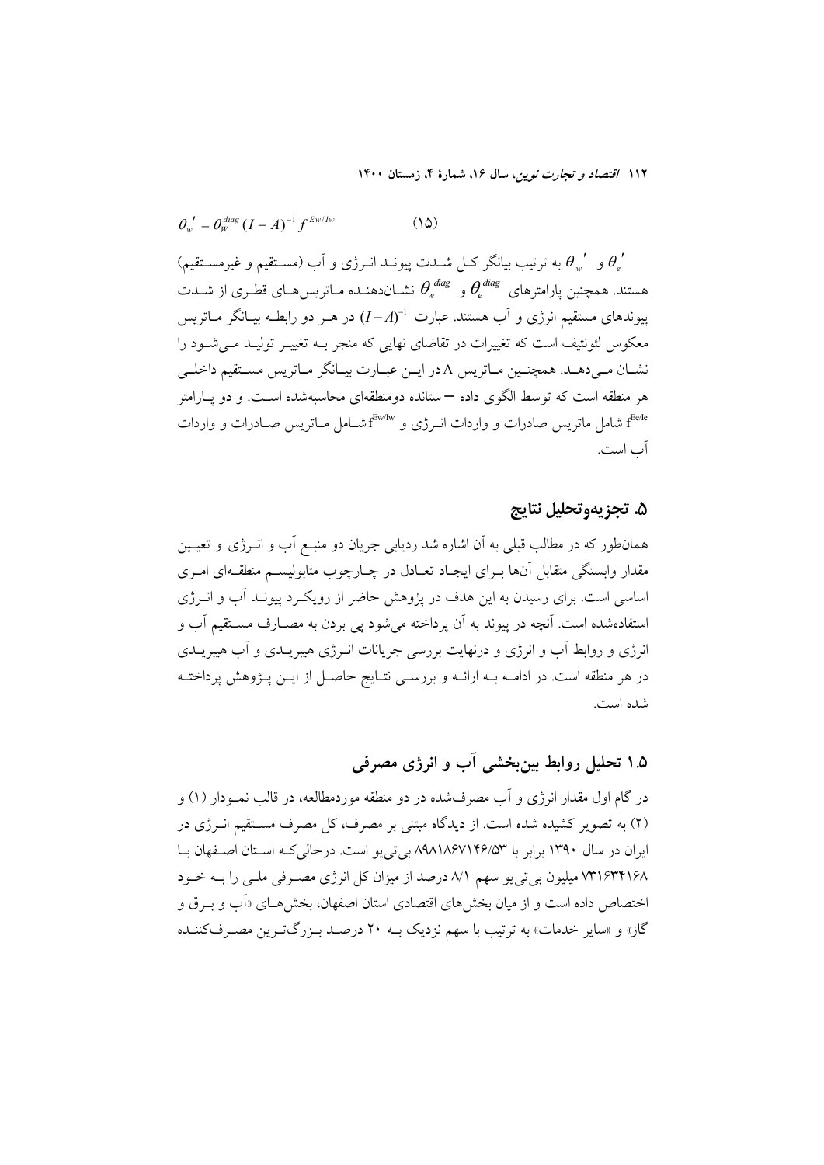$$
\theta_{w}^{\prime} = \theta_{w}^{diag} (I - A)^{-1} f^{Ew/Iw}
$$
 (10)

و گهرو به ترتیب بیانگر کـل شــدت پیونــد انــرژی و اَب (مسـتقیم و غیرمسـتقیم)  $\theta_i^{\ \prime}$ هستند. همچنین پارامترهای  $\theta_e^{\emph{ diag}}$  و  $\theta_w^{\emph{ diag}}$  نشــان۱هنــده مــاتریس۱هــای قطـری از شــدت ییوندهای مستقیم انرژی و آب هستند. عبارت  $(-A)^{-1}$  در هـر دو رابطـه بیــانگر مــاتریس معکوس لئونتیف است که تغییرات در تقاضای نهایی که منجر بـه تغییـر تولیـد مـی شـود را نشــان مــیدهــد. همچنــین مــاتریس A در ایــن عبــارت بیــانگر مــاتریس مســتقیم داخلــی هر منطقه است که توسط الگوی داده —ستانده دومنطقهای محاسبهشده اسـت. و دو پــارامتر f<sup>ecle</sup> شامل ماتریس صادرات و واردات انــرژی و "f<sup>Ew/Iw</sup> شــامل مــاتریس صــادرات و واردات آب است.

### ۵. تجزيهوتحليل نتايج

همانطور که در مطالب قبلی به اَن اشاره شد ردیابی جریان دو منبــع اَب و انــرژی و تعیــین .<br>مقدار وابستگی متقابل آنها بـرای ایجـاد تعـادل در چـارچوب متابولیســم منطقــهای امـری اساسی است. برای رسیدن به این هدف در یژوهش حاضر از رویک د پیونـد آب و انــرژی استفادهشده است. آنچه در پیوند به آن پرداخته می شود یی بردن به مصــارف مســتقیم آب و انرژی و روابط آب و انرژی و درنهایت بررسی جریانات انـرژی هیبریــدی و آب هیبریــدی در هر منطقه است. در ادامــه بــه ارائــه و بررســي نتــايج حاصــل از ايــن پــژوهش پرداختــه شده است.

### ۱.۵ تحلیل روابط بین بخشی آب و انرژی مصرفی

در گام اول مقدار انرژی و آب مصرفشده در دو منطقه موردمطالعه، در قالب نمــودار (۱) و (۲) به تصویر کشیده شده است. از دیدگاه مبتنی بر مصرف، کل مصرف مستقیم انــرژی در ایران در سال ۱۳۹۰ برابر با ۸۹۸۱۸۶۷۱۴۶/۵۳ بی تی یو است. درحالی کـه اسـتان اصـفهان بـا ۷۳۱۶۳۴۱۶۸ میلیون بی تی یو سهم ۸/۱ درصد از میزان کل انرژی مصـرفی ملـی را بـه خـود اختصاص داده است و از میان بخش های اقتصادی استان اصفهان، بخش هــای «اَب و بــو ق و گاز» و «سایر خدمات» به ترتیب با سهم نزدیک بــه ۲۰ درصــد بـزرگتـرین مصـرفکننــده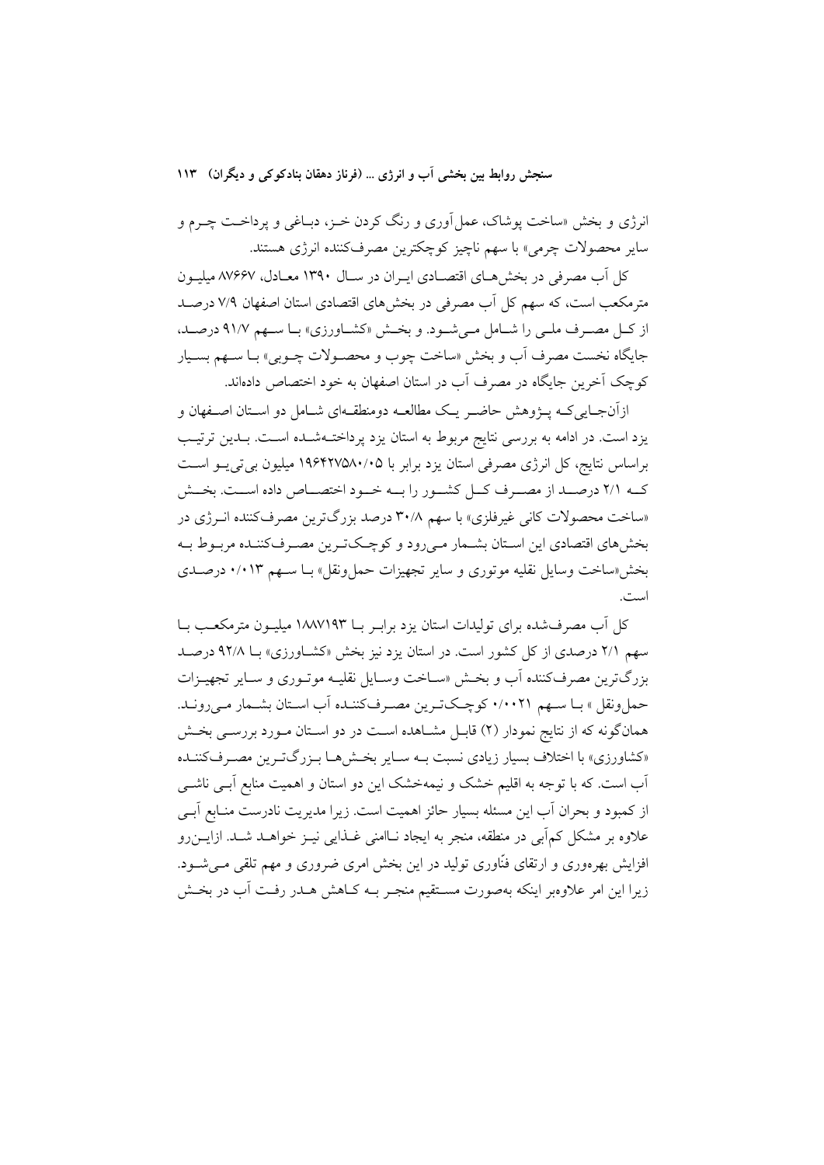انرژی و بخش «ساخت پوشاک، عمل آوری و رنگ کردن خـز، دبـاغی و پرداخـت چـرم و ساير محصولات چرمي» با سهم ناچيز كوچكترين مصرفكننده انرژى هستند.

کل آب مصرفی در بخش هـای اقتصـادی ایـران در سـال ۱۳۹۰ معـادل، ۸۷۶۶۷ میلیـون مترمکعب است، که سهم کل آب مصرفی در بخش های اقتصادی استان اصفهان ۷/۹ درصـد از كـل مصـرف ملـى را شـامل مـى شـود. و بخـش «كشـاورزى» بـا سـهم ٩١/٧ درصـد، جايگاه نخست مصرف أب و بخش «ساخت چوب و محصـولات چـوبي» بـا سـهم بسـيار كوچک آخرين جايگاه در مصرف آب در استان اصفهان به خود اختصاص دادهاند.

ازآنجـایی کـه پــژوهش حاضــر یـک مطالعــه دومنطقــهای شــامل دو اســتان اصــفهان و یزد است. در ادامه به بررسی نتایج مربوط به استان یزد پرداختـهشـده اسـت. بـدین ترتیـب براساس نتايج، كل انرژى مصرفى استان يزد برابر با ۱۹۶۴۲۷۵۸۰/۰۵ ميليون بى تى پــو اســت كــه ٢/١ درصــد از مصــرف كــل كشــور را بــه خــود اختصــاص داده اســت. بخــش «ساخت محصولات کانی غیرفلزی» با سهم ۳۰/۸ درصد بزرگترین مصرفکننده انبرژی در بخشهای اقتصادی این اسـتان بشـمار مـیرود و کوچـکتـرین مصـرفکننـده مربـوط بـه بخش «ساخت وسایل نقلیه موتوری و سایر تجهیزات حمل ونقل» بـا ســهم ۰/۰۱۳ درصـدی است.

کل آب مصرفشده برای تولیدات استان یزد برابـر بــا ۱۸۸۷۱۹۳ میلیــون مترمکعــب بــا سهم ۲/۱ درصدی از کل کشور است. در استان یزد نیز بخش «کشـاورزی» بـا ۹۲/۸ درصـد بزرگترین مصرف کننده آب و بخش «سـاخت وسـایل نقلیـه موتـوری و سـایر تجهیـزات حمل ونقل » بـا سـهم ۰/۰۰۲۱ كوچـكتـرين مصـرفكننـده آب اسـتان بشـمار مـي رونـد. همانگونه که از نتایج نمودار (۲) قابـل مشـاهده اسـت در دو اسـتان مـورد بررسـی بخـش «کشاورزی» با اختلاف بسیار زیادی نسبت بـه سـایر بخـشهـا بـزرگتـرین مصـرفکننـده آب است. که با توجه به اقلیم خشک و نیمهخشک این دو استان و اهمیت منابع آبـی ناشــی از کمبود و بحران آب این مسئله بسیار حائز اهمیت است. زیرا مدیریت نادرست منـابع آبـی علاوه بر مشکل کمآبی در منطقه، منجر به ایجاد نــاامنی غــذایی نیــز خواهــد شــد. ازایــن٫رو افزایش بهرهوری و ارتقای فنّاوری تولید در این بخش امری ضروری و مهم تلقی مـی شــود. زیرا این امر علاوهبر اینکه بهصورت مسـتقیم منجـر بــه کــاهش هــدر رفــت آب در بخــش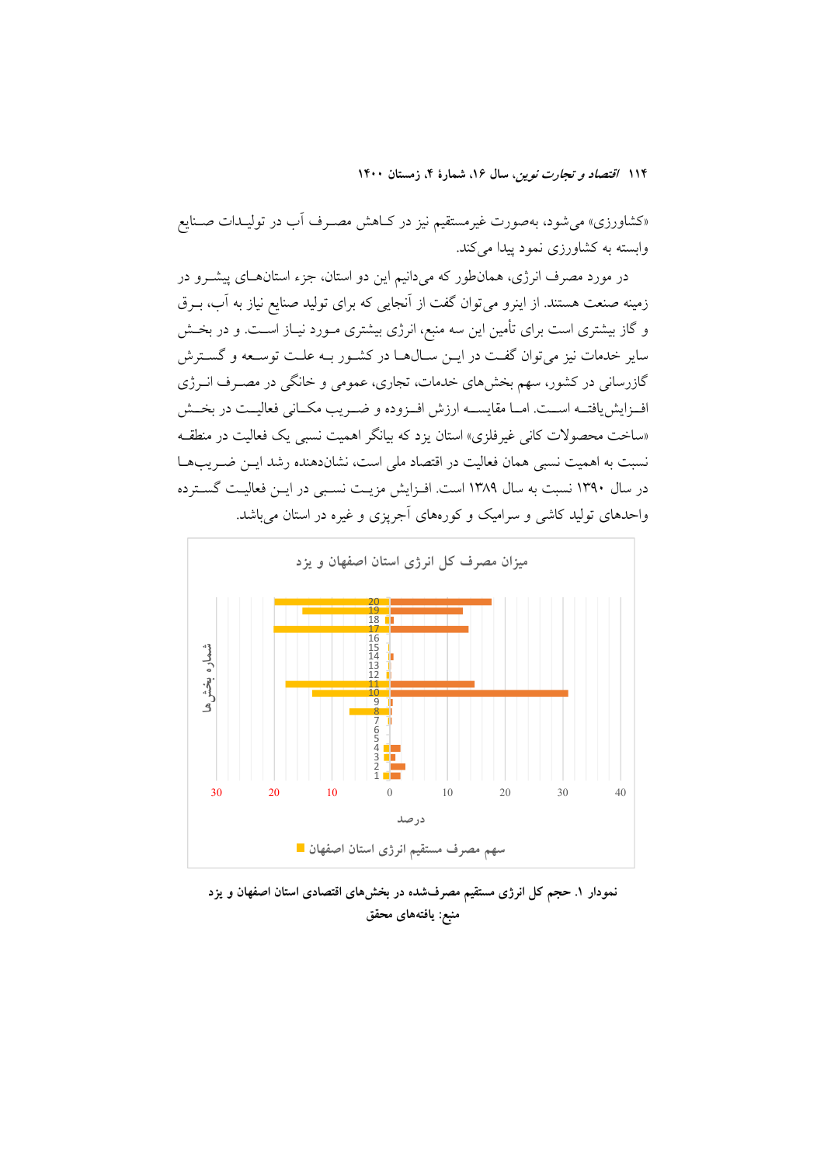«کشاورزی» می شود، بهصورت غیرمستقیم نیز در کـاهش مصـرف آب در تولیـدات صـنایع وابسته به کشاورزی نمود پیدا میکند.

در مورد مصرف انرژی، همانطور که میدانیم این دو استان، جزء استانهـای پیشــرو در زمینه صنعت هستند. از اینرو میتوان گفت از آنجایی که برای تولید صنایع نیاز به آب، بـرق و گاز بیشتری است برای تأمین این سه منبع، انرژی بیشتری مـورد نیـاز اسـت. و در بخـش سایر خدمات نیز می توان گفت در ایــن ســال۱مـا در کشــور بــه علــت توســعه و گســترش گازرسانی در کشور، سهم بخشهای خدمات، تجاری، عمومی و خانگی در مصـرف انــرژی اف زایش یافتــه اســت. امــا مقایســـه ارزش افــزوده و ضــریب مکــانی فعالیــت در بخــش «ساخت محصولات کانی غیرفلزی» استان یزد که بیانگر اهمیت نسبی یک فعالیت در منطقـه نسبت به اهمیت نسبی همان فعالیت در اقتصاد ملی است، نشاندهنده رشد ایــن ضــر یب۱هـا در سال ۱۳۹۰ نسبت به سال ۱۳۸۹ است. افـزایش مزیـت نسـبی در ایـن فعالیـت گسـترده واحدهای تولید کاشی و سرامیک و کورههای آجریزی و غیره در استان می باشد.



نمودار ۱. حجم کل انرژی مستقیم مصرفشده در بخشهای اقتصادی استان اصفهان و یزد منبع: يافتههاي محقق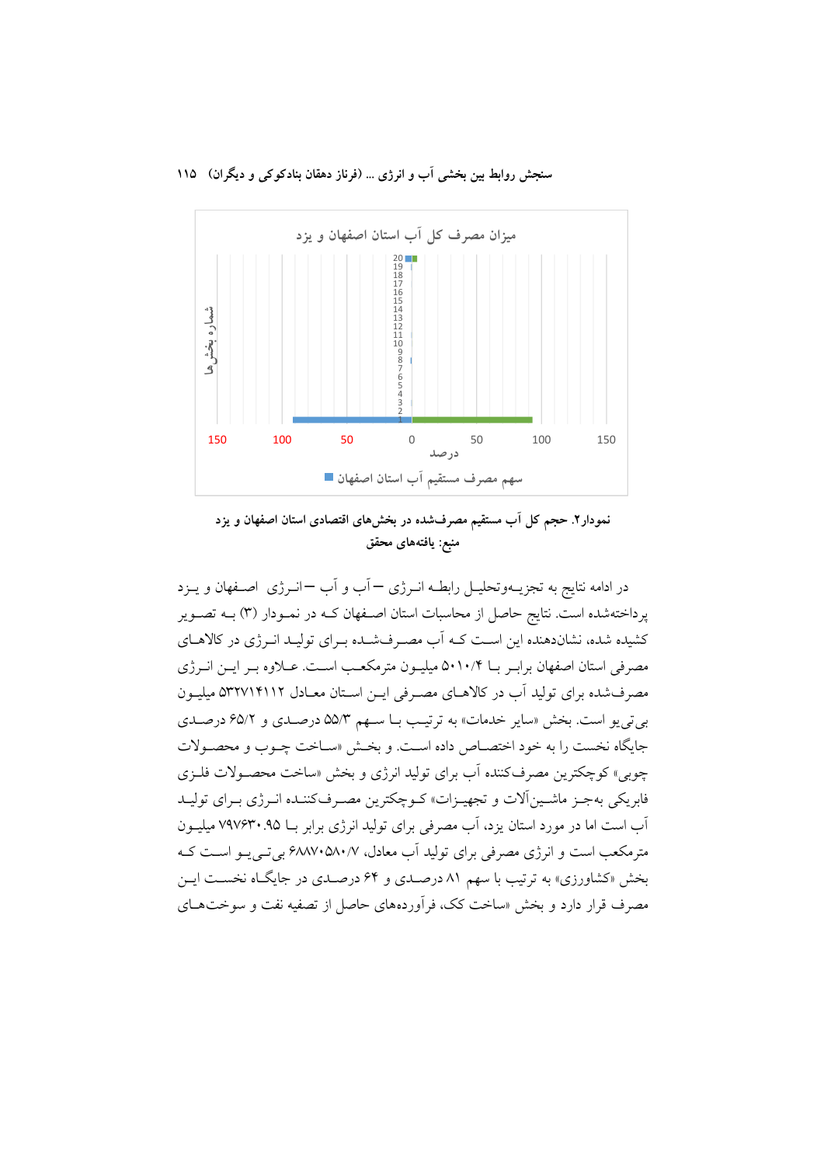

نمودار۲. حجم کل آب مستقیم مصرفشده در بخشهای اقتصادی استان اصفهان و یزد منبع: يافتههاى محقق

در ادامه نتایج به تجزیــهوتحلیــل رابطــه انــرژی — آب و آب —انــرژی اصــفهان و یــزد پرداختهشده است. نتایج حاصل از محاسبات استان اصـفهان کـه در نمـودار (۳) بــه تصــویر کشیده شده، نشاندهنده این است کـه آب مصـرفشـده بـرای تولیـد انـرژی در کالاهـای مصرفی استان اصفهان برابـر بـا ۵۰۱۰/۴ میلیـون مترمکعـب اسـت. عــلاوه بـر ایــن انــرژی مصرف شده برای تولید آب در کالاهـای مصـرفی ایــن اسـتان معـادل ۵۳۲۷۱۴۱۱۲ میلیــون بي تي يو است. بخش «ساير خدمات» به ترتيب بـا سـهم ۵۵/۳ درصـدي و ۶۵/۲ درصـدي جایگاه نخست را به خود اختصـاص داده اسـت. و بخـش «سـاخت چـوب و محصـولات چوبی» کوچکترین مصرفکننده آب برای تولید انرژی و بخش «ساخت محصـولات فلـزی .<br>فابريكي بهجـز ماشـين|َلات و تجهيـزات» كـوچكترين مصـرفكننـده انـرژي بـراي توليـد آب است اما در مورد استان یزد، آب مصرفی برای تولید انرژی برابر بـا ۹۵. ۷۹۷۶۳۰ میلیــون مترمکعب است و انرژی مصرفی برای تولید آب معادل، ۶۸۸۷۰۵۸۰/۷ بیتی پو است ک بخش «کشاورزی» به ترتیب با سهم ۸۱ درصـدی و ۶۴ درصـدی در جایگـاه نخسـت ایـن مصرف قرار دارد و بخش «ساخت کک، فرآوردههای حاصل از تصفیه نفت و سوختهـای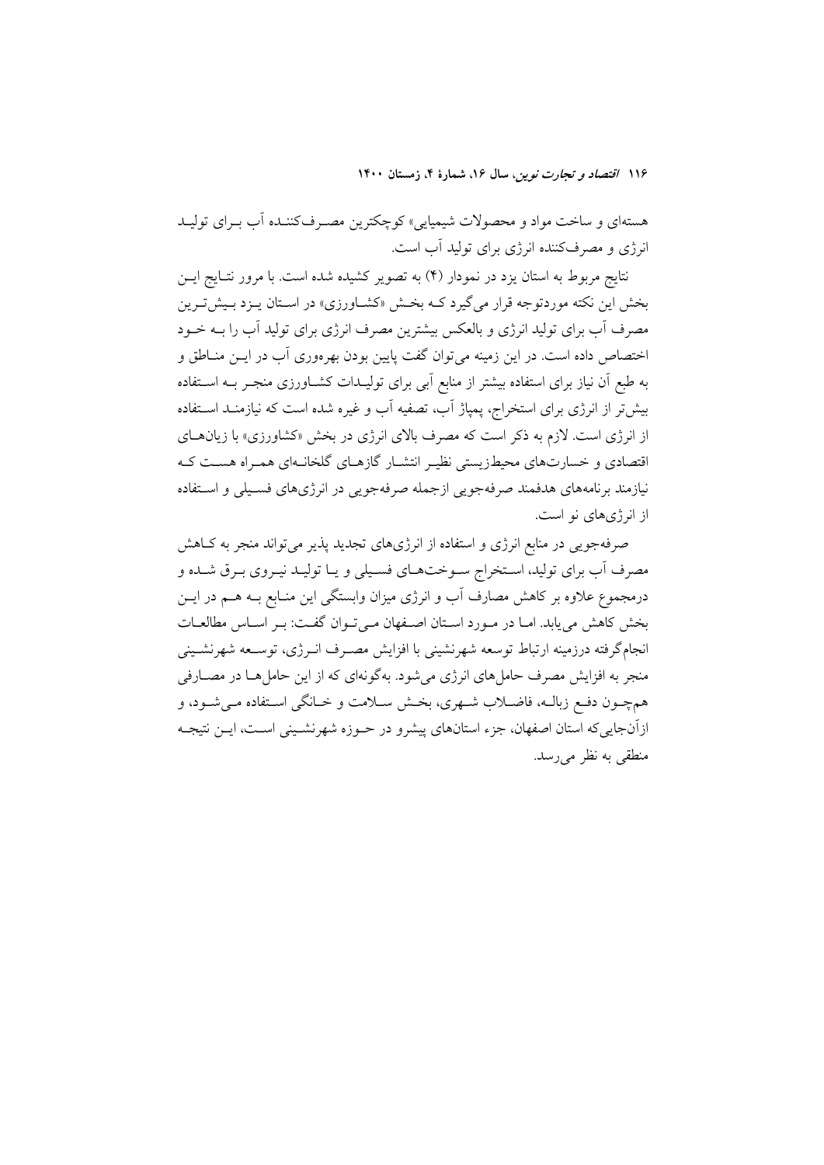هستهای و ساخت مواد و محصولات شیمیایی» کوچکترین مصـرفکننـده آب بـرای تولیـد انرژی و مصرفکننده انرژی برای تولید آب است.

نتایج مربوط به استان یزد در نمودار (۴) به تصویر کشیده شده است. با مرور نتـایج ایــن بخش این نکته موردتوجه قرار میگیرد کـه بخـش «کشـاورزی» در اسـتان پـزد بـیش تـرین مصرف آب برای تولید انرژی و بالعکس بیشترین مصرف انرژی برای تولید آب را بــه خــود اختصاص داده است. در این زمینه می توان گفت پایین بودن بهرهوری آب در ایــن منــاطق و به طبع آن نیاز برای استفاده بیشتر از منابع آبی برای تولیــدات کشــاورزی منجــر بــه اســتفاده بیش تر از انرژی برای استخراج، پمپاژ آب، تصفیه آب و غیره شده است که نیازمنـد اسـتفاده از انرژی است. لازم به ذکر است که مصرف بالای انرژی در بخش «کشاورزی» با زیانهـای اقتصادی و خسارتهای محیطزیستی نظیر انتشبار گازهبای گلخانیهای همیراه هست کیه .<br>نیازمند برنامههای هدفمند صرفهجویی ازجمله صرفهجویی در انرژیهای فسـیلی و اسـتفاده از انرژی های نو است.

صرفهجویی در منابع انرژی و استفاده از انرژیهای تجدید پذیر میتواند منجر به کIهش مصرف آب برای تولید، اسـتخراج سـوختهـای فسـیلی و یـا تولیـد نیـروی بـرق شـده و درمجموع علاوه بر کاهش مصارف آب و انرژی میزان وابستگی این منـابع بــه هــم در ایــن بخش کاهش می یابد. امـا در مـورد اسـتان اصـفهان مـی تـوان گفـت: بـر اسـاس مطالعـات انجامگرفته درزمینه ارتباط توسعه شهرنشینی با افزایش مصـرف انـرژی، توسـعه شهرنشـینی منجر به افزایش مصرف حاملهای انرژی میشود. بهگونهای که از این حاملها در مصـارفی همچــون دفــع زبالــه، فاضــلاب شــهري، بخــش ســلامت و خــانگي اســتفاده مــي شــود، و ازآنجایی که استان اصفهان، جزء استانهای پیشرو در حـوزه شهرنشـینی اسـت، ایـن نتیجـه منطقی به نظر می رسد.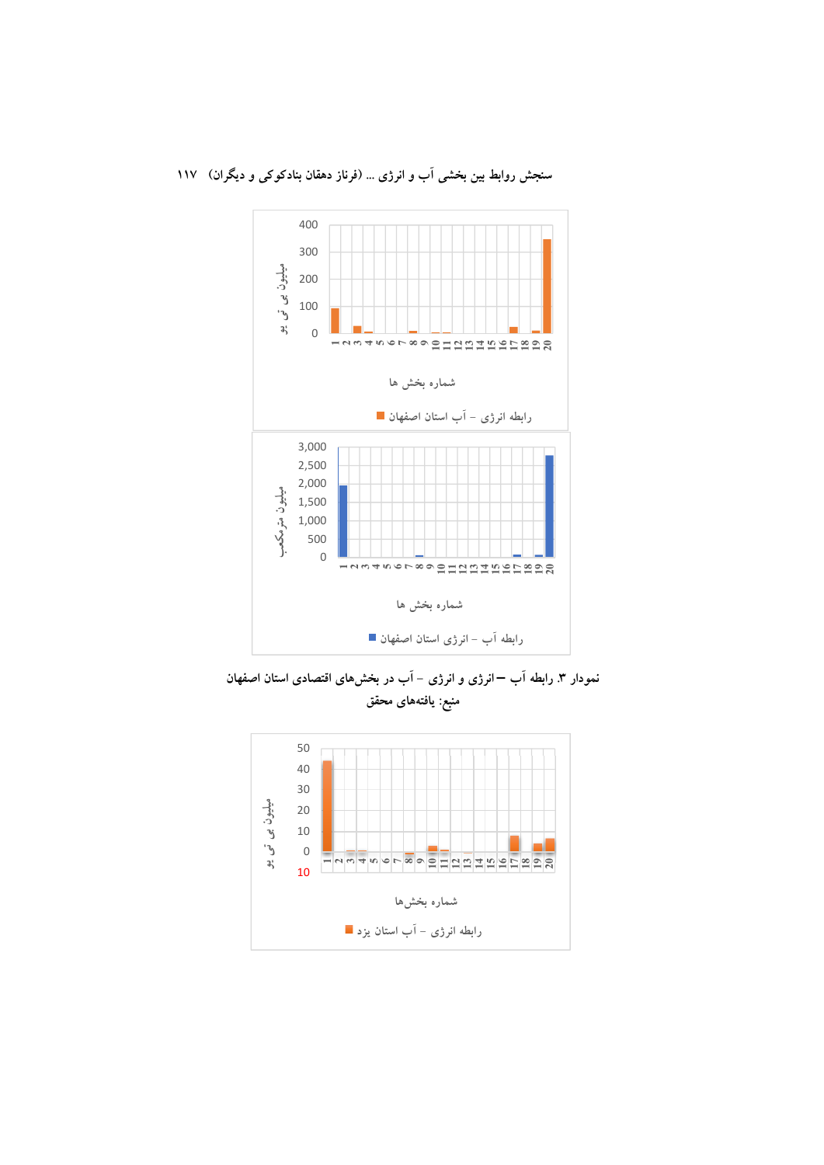

نمودار ۳. رابطه آب –انرژی و انرژی – آب در بخشهای اقتصادی استان اصفهان منبع: يافتههاى محقق

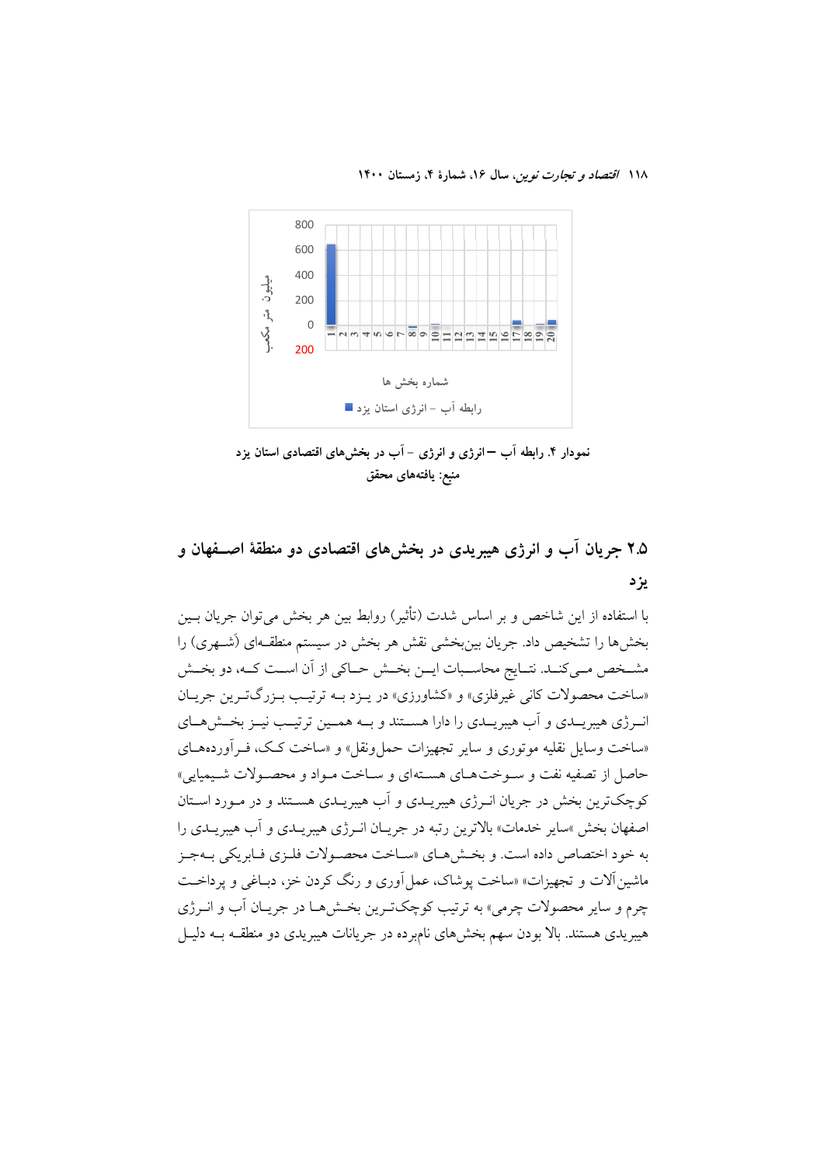

نمودار ۴. رابطه آب –انرژی و انرژی – آب در بخشهای اقتصادی استان یزد منبع: يافتههاي محقق

## ۲.۵ جریان آب و انرژی هیبریدی در بخشهای اقتصادی دو منطقهٔ اصــفهان و يز د

با استفاده از این شاخص و بر اساس شدت (تأثیر) روابط بین هر بخش می توان جریان پین بخشها را تشخیص داد. جریان بینبخشی نقش هر بخش در سیستم منطقـهای (شـهری) را مشــخص مــي كنــد. نتــايج محاســبات ايــن بخــش حــاكي از آن اســت كــه، دو بخــش «ساخت محصولات کاني غيرفلزي» و «کشاورزي» در يـزد بـه ترتيـب بـزرگتـرين جريـان انـرژی هیبریــدی و آب هیبریــدی را دارا هســتند و بــه همــین ترتیــب نیــز بخــش(هــای «ساخت وسایل نقلیه موتوری و سایر تجهیزات حمل ونقل» و «ساخت کک، فـرآوردههــای حاصل از تصفیه نفت و سـوختهـای هسـتهای و سـاخت مـواد و محصـولات شـیمیایی» کوچکترین بخش در جریان انـرژی هیبریـدی و اَب هیبریـدی هسـتند و در مـورد اسـتان اصفهان بخش »ساير خدمات» بالاترين رتبه در جريــان انــرژي هيبريــدي و آب هيبريــدي را به خود اختصاص داده است. و بخش هياي «سياخت محصولات فليزي فيابريكي بيهجيز ماشین آلات و تجهیزات» «ساخت یوشاک، عمل آوری و رنگ کردن خز، دبـاغی و یرداخـت چرم و سایر محصولات چرمی» به ترتیب کوچکت پن بخشها در جریـان آب و انــرژي هیبریدی هستند. بالا بودن سهم بخشهای نامبرده در جریانات هیبریدی دو منطقــه بــه دلیــل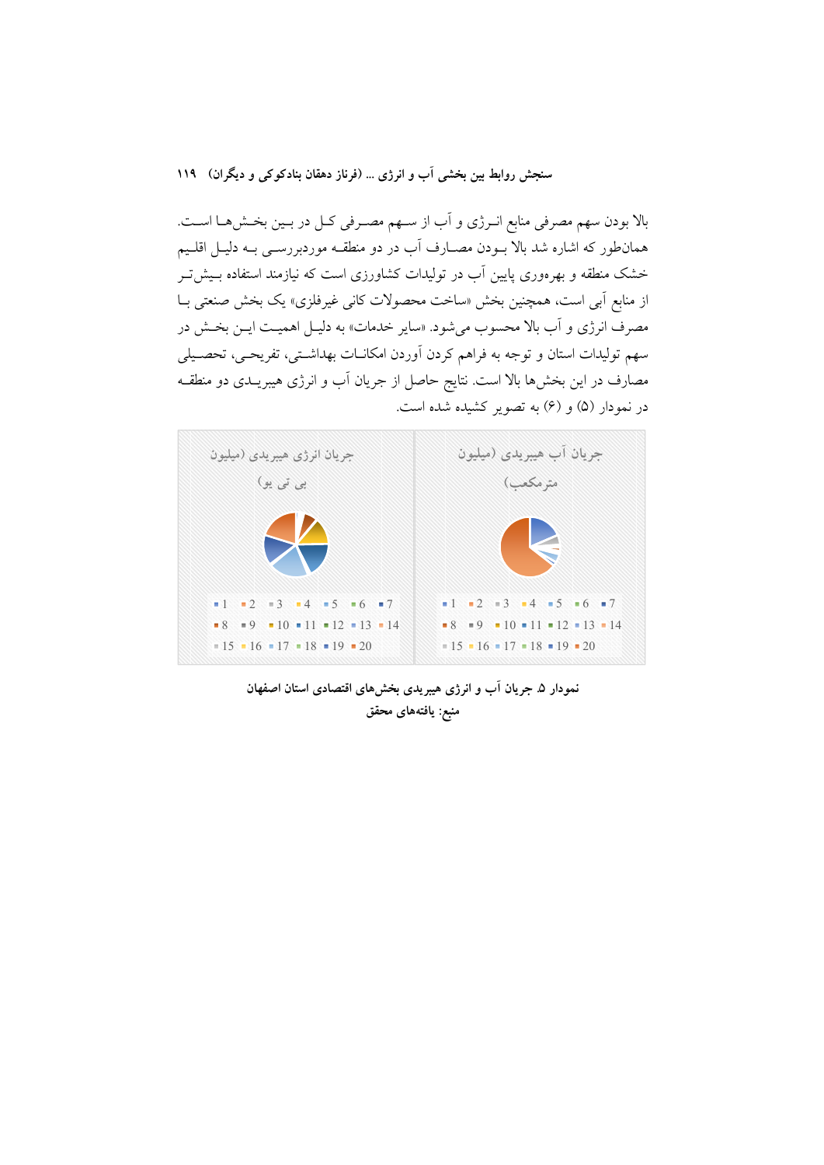بالا بودن سهم مصرفی منابع انـرژی و آب از سـهم مصـرفی کـل در بـین بخـش۱هـا اسـت. همانطور که اشاره شد بالا بــودن مصــارف آب در دو منطقــه موردبررســي بــه دليــل اقلــيم خشک منطقه و بهرهوری پایین آب در تولیدات کشاورزی است که نیازمند استفاده بـیش تـر از منابع اّبی است، همچنین بخش «ساخت محصولات کانی غیرفلزی» یک بخش صنعتی بـا مصرف انرژی و آب بالا محسوب میشود. «سایر خدمات» به دلیـل اهمیـت ایـن بخـش در سهم تولیدات استان و توجه به فراهم کردن آوردن امکانـات بهداشـتی، تفریحـی، تحصـیلی مصارف در این بخشها بالا است. نتایج حاصل از جریان آب و انرژی هیبریــدی دو منطقــه در نمودار (۵) و (۶) به تصویر کشیده شده است.



نمودار ۵ـ جريان آب و انرژی هيبريدی بخشهای اقتصادی استان اصفهان منبع: يافتههاي محقق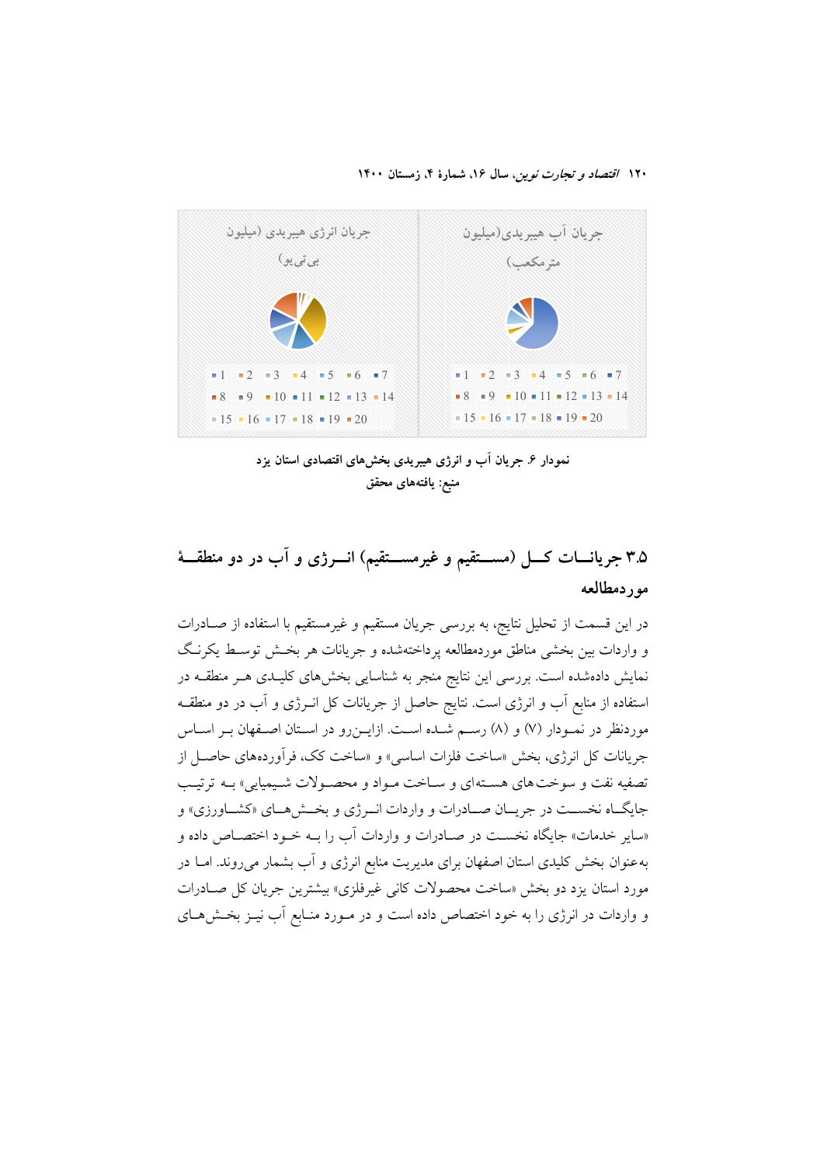۱۲۰ /قتصاد و تجارت نوین، سال ۱۶، شمارهٔ ۴، زمستان ۱۴۰۰



نمودار ۶ جریان آب و انرژی هیبریدی بخشهای اقتصادی استان یزد منبع: يافتههاي محقق

# ۳.۵ جریانسات کسل (مســـتقیم و غیرمســـتقیم) انــــرژی و آب در دو منطقـــهٔ موردمطالعه

در این قسمت از تحلیل نتایج، به بررسی جریان مستقیم و غیرمستقیم با استفاده از صـادرات و واردات بین بخشی مناطق موردمطالعه پرداختهشده و جریانات هر بخش توسط یکرنگ .<br>نمایش دادهشده است. بررسی این نتایج منجر به شناسایی بخشهای کلیـدی هــر منطقــه در استفاده از منابع آب و انرژی است. نتایج حاصل از جریانات کل انـرژی و آب در دو منطقــه موردنظر در نمـودار (۷) و (۸) رسـم شـده اسـت. ازایــن٫و در اسـتان اصـفهان بـر اسـاس جريانات كل انرژى، بخش «ساخت فلزات اساسى» و «ساخت كك، فرآوردههاى حاصـل از تصفیه نفت و سوخت های هسته ای و سـاخت مـواد و محصـولات شـیمیایی» بــه ترتیـب جایگــاه نخســت در جریــان صـــادرات و واردات انــر ژی و بخــش هــای «کشــاورزی» و «سایر خدمات» جایگاه نخست در صـادرات و واردات آب را بـه خــود اختصــاص داده و به عنوان بخش کلیدی استان اصفهان برای مدیریت منابع انرژی و آب بشمار میروند. امــا در مورد استان یزد دو بخش «ساخت محصولات کانی غیرفلزی» بیشترین جریان کل صـادرات و واردات در انرژی را به خود اختصاص داده است و در مـورد منـابع آب نيـز بخـش١هـای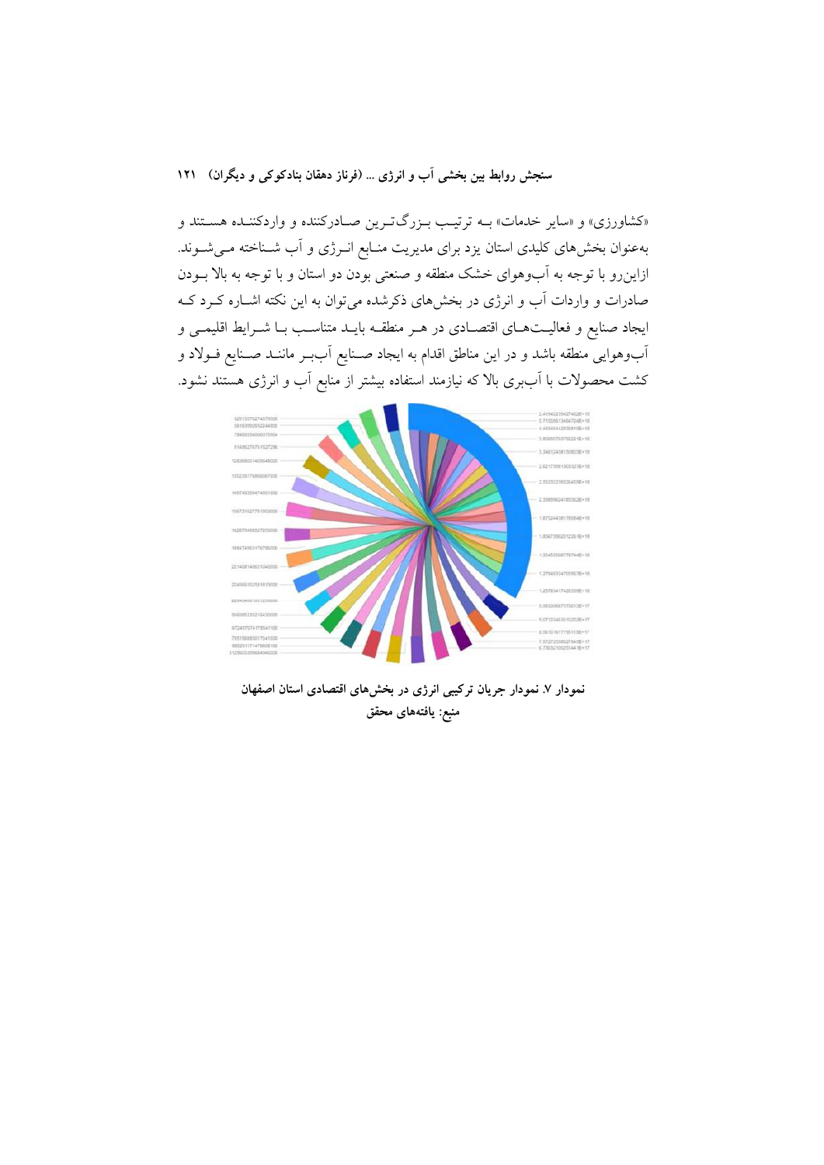«کشاورزی» و «سایر خدمات» بـه ترتیب بـزرگتـرین صـادرکننده و واردکننـده هسـتند و بهعنوان بخشهای کلیدی استان یزد برای مدیریت منـابع انـرژی و آب شـناخته مـی شـوند. ازاین رو با توجه به آبوهوای خشک منطقه و صنعتی بودن دو استان و با توجه به بالا بـودن صادرات و واردات آب و انرژی در بخشهای ذکرشده می توان به این نکته اشـاره کـرد کـه ایجاد صنایع و فعالیتهـای اقتصـادی در هـر منطقـه بایـد متناسـب بـا شـرایط اقلیمـی و آبوهوایی منطقه باشد و در این مناطق اقدام به ایجاد صـنایع آببـر ماننــد صـنایع فــولاد و کشت محصولات با اَببری بالا که نیازمند استفاده بیشتر از منابع اَب و انرژی هستند نشود.



نمودار ٧. نمودار جريان تركيبي انرژى در بخشهاى اقتصادى استان اصفهان منبع: يافتههاي محقق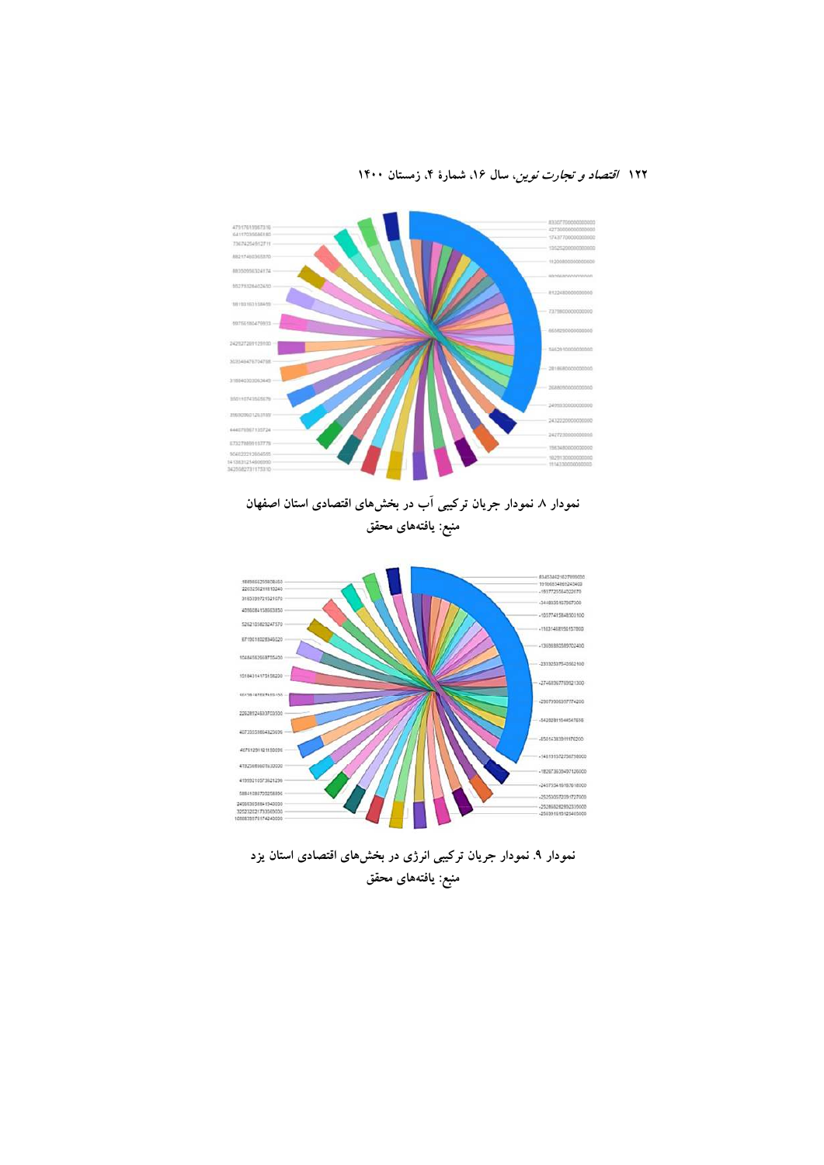

نمودار ۸ نمودار جریان ترکیبی آب در بخشهای اقتصادی استان اصفهان منبع: يافتههاى محقق



نمودار ۹. نمودار جریان ترکیبی انرژی در بخشهای اقتصادی استان یزد منبع: يافتههاى محقق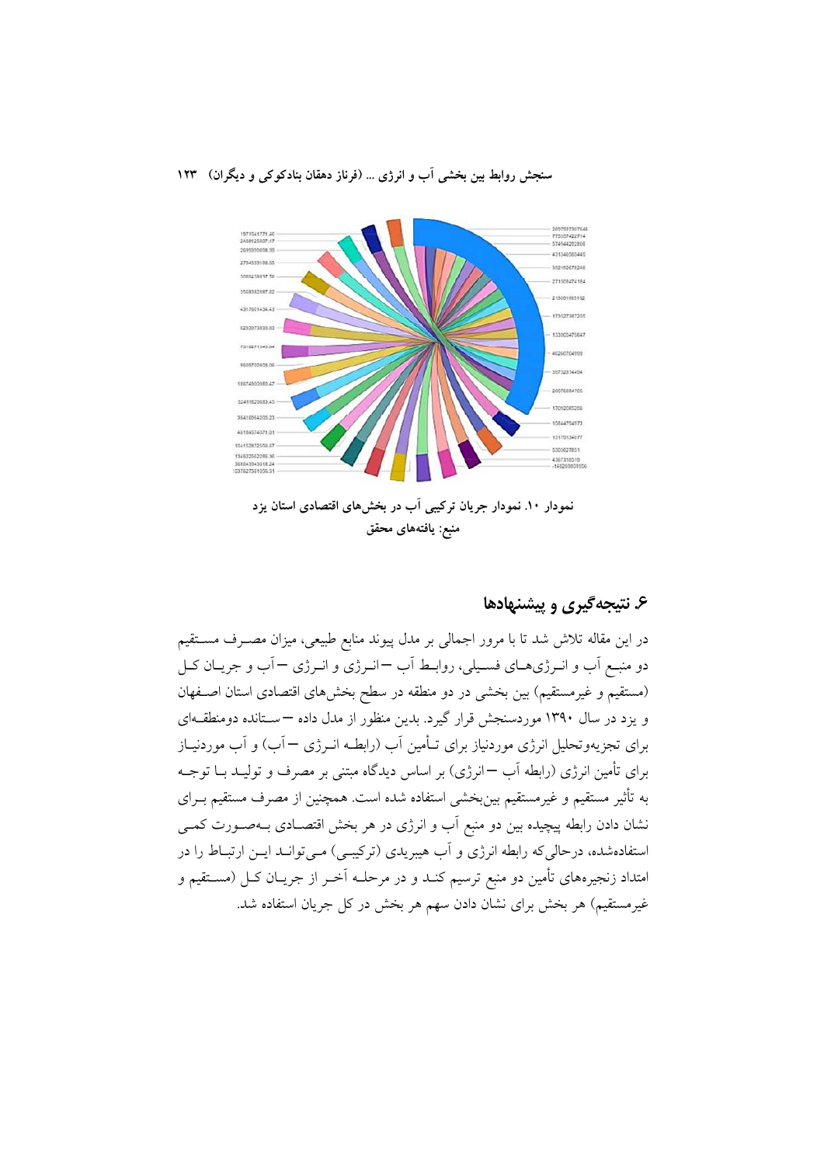

نمودار ۱۰. نمودار جریان ترکیبی آب در بخشهای اقتصادی استان یزد منبع: يافتههاي محقق

### ۶. نتيجه گيري و پيشنهادها

در این مقاله تلاش شد تا با مرور اجمالی بر مدل پیوند منابع طبیعی، میزان مصـرف مسـتقیم دو منبـع أب و انـرژيهـاي فسـيلي، روابـط أب –انـرژي و انـرژي – أب و جريـان كـل (مستقیم و غیرمستقیم) بین بخشی در دو منطقه در سطح بخشهای اقتصادی استان اصـفهان و یزد در سال ۱۳۹۰ موردسنجش قرار گیرد. بدین منظور از مدل داده —ستانده دومنطقـهای برای تجزیهوتحلیل انرژی موردنیاز برای تـأمین آب (رابطـه انــرژی − آب) و آب موردنیــاز برای تأمین انرژی (رابطه اَب —انرژی) بر اساس دیدگاه مبتنی بر مصرف و تولیــد بــا توجــه به تأثیر مستقیم و غیرمستقیم بین بخشی استفاده شده است. همچنین از مصرف مستقیم بـرای نشان دادن رابطه پیچیده بین دو منبع آب و انرژی در هر بخش اقتصـادی بـهصـورت کمـی استفادهشده، درحالی که رابطه انرژی و آب هیبریدی (ترکیبی) مـی توانــد ایــن ارتبــاط را در امتداد زنجیرههای تأمین دو منبع ترسیم کنـد و در مرحلــه اَخــر از جریــان کــل (مســتقیم و غیرمستقیم) هر بخش برای نشان دادن سهم هر بخش در کل جریان استفاده شد.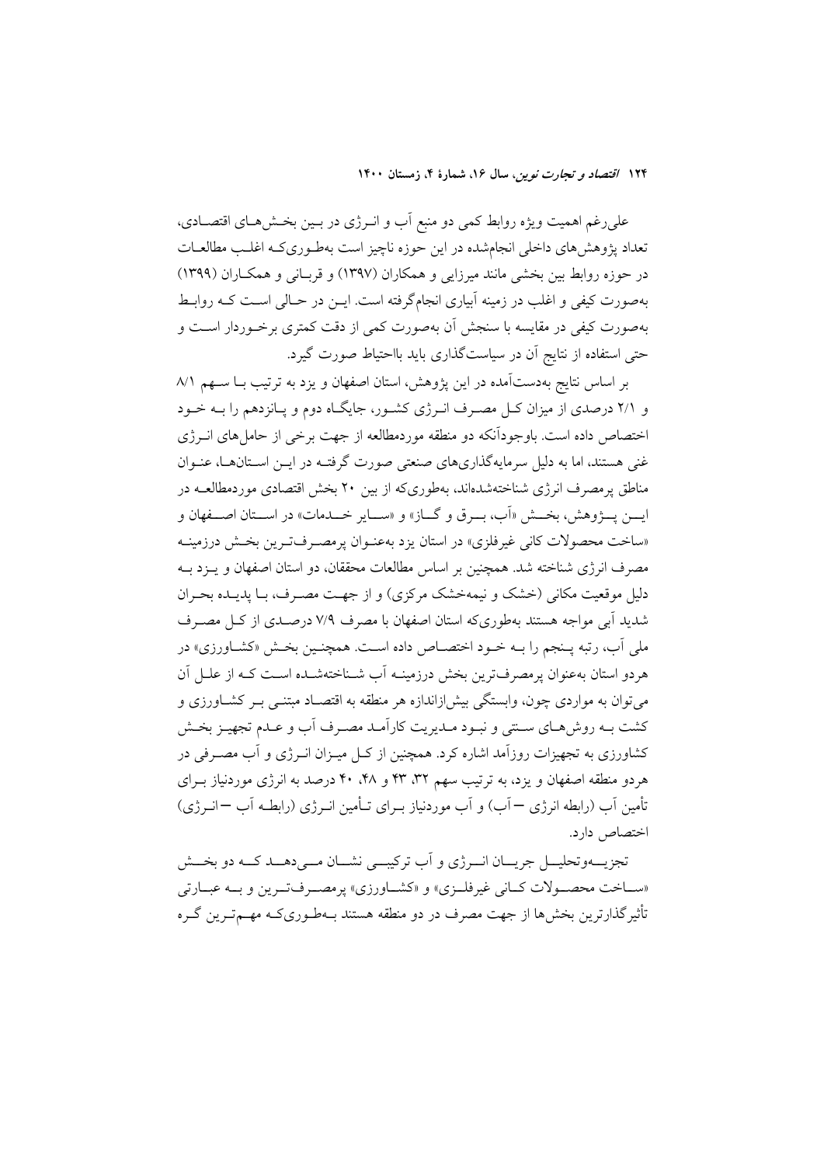علی رغم اهمیت ویژه روابط کمی دو منبع آب و انـرژی در بـین بخـشهـای اقتصـادی، تعداد پژوهشهای داخلی انجامشده در این حوزه ناچیز است بهطـوریکـه اغلـب مطالعـات در حوزه روابط بین بخشی مانند میرزایی و همکاران (۱۳۹۷) و قربانی و همکـاران (۱۳۹۹) بهصورت کیفی و اغلب در زمینه آبیاری انجامگرفته است. ایــن در حــالی اســت کــه روابــط بهصورت کیفی در مقایسه با سنجش آن بهصورت کمی از دقت کمتری برخـوردار اسـت و حتی استفاده از نتایج اَن در سیاستگذاری باید بااحتیاط صورت گیرد.

بر اساس نتایج بهدستآمده در این یژوهش، استان اصفهان و یزد به ترتیب بـا ســهم ۸/۱ و ۲/۱ درصدی از میزان کـل مصــرف انــرژی کشــور، جایگــاه دوم و پــانزدهـم را بــه خــود اختصاص داده است. باوجودآنکه دو منطقه موردمطالعه از جهت برخی از حامل های انبرژی غنی هستند، اما به دلیل سرمایهگذاریهای صنعتی صورت گرفتـه در ایـن اسـتانهــا، عنـوان مناطق پرمصرف انرژی شناختهشدهاند، بهطوریکه از بین ۲۰ بخش اقتصادی موردمطالعــه در ايسن پسۋوهش، بخسش «اَپ، سيرقي و گساز» و «سيايو خسدمات» در اسستان اصسفهان و «ساخت محصولات كاني غيرفلزي» در استان يزد بهعنـوان پرمصـرفتـرين بخـش درزمينـه مصرف انرژی شناخته شد. همچنین بر اساس مطالعات محققان، دو استان اصفهان و پـزد بــه دلیل موقعیت مکانی (خشک و نیمهخشک مرکزی) و از جهت مصـرف، بـا پدیـده بحـران شدید آبی مواجه هستند بهطوریکه استان اصفهان با مصرف ۷/۹ درصـدی از کـل مصـرف ملي أب، رتبه پـنجم را بــه خـود اختصــاص داده اسـت. همچنـين بخــش «كشــاورزي» در هردو استان بهعنوان پرمصرفترین بخش درزمینــه أب شــناختهشــده اســت کــه از علــل اَن می توان به مواردی چون، وابستگی بیش(زاندازه هر منطقه به اقتصـاد مبتنــی بـر کشــاورزی و كشت بـه روش،هـاي سـنتي و نبـود مـديريت كاراّمـد مصـرف اّب و عـدم تجهيـز بخـش کشاورزی به تجهیزات روزآمد اشاره کرد. همچنین از کــل میــزان انــرژی و آب مصــرفی در هردو منطقه اصفهان و یزد، به ترتیب سهم ۳۲، ۴۳ و ۴۰، ۴۰ درصد به انرژی موردنیاز بـرای تأمین آب (رابطه انرژی — آب) و آب موردنیاز بــرای تــأمین انــرژی (رابطــه آب —انــرژی) اختصاص دارد.

تجزيـــهوتحليـــل جريـــان انــــرژي و آب تركيبـــي نشـــان مـــي دهـــد كـــه دو بخـــش «سـاخت محصـولات كــاني غيرفلــزي» و «كشــاورزي» پرمصــرفتــرين و بــه عبــارتي تأثیر گذارترین بخش ها از جهت مصرف در دو منطقه هستند بـهطـوریکـه مهــمتــرین گــره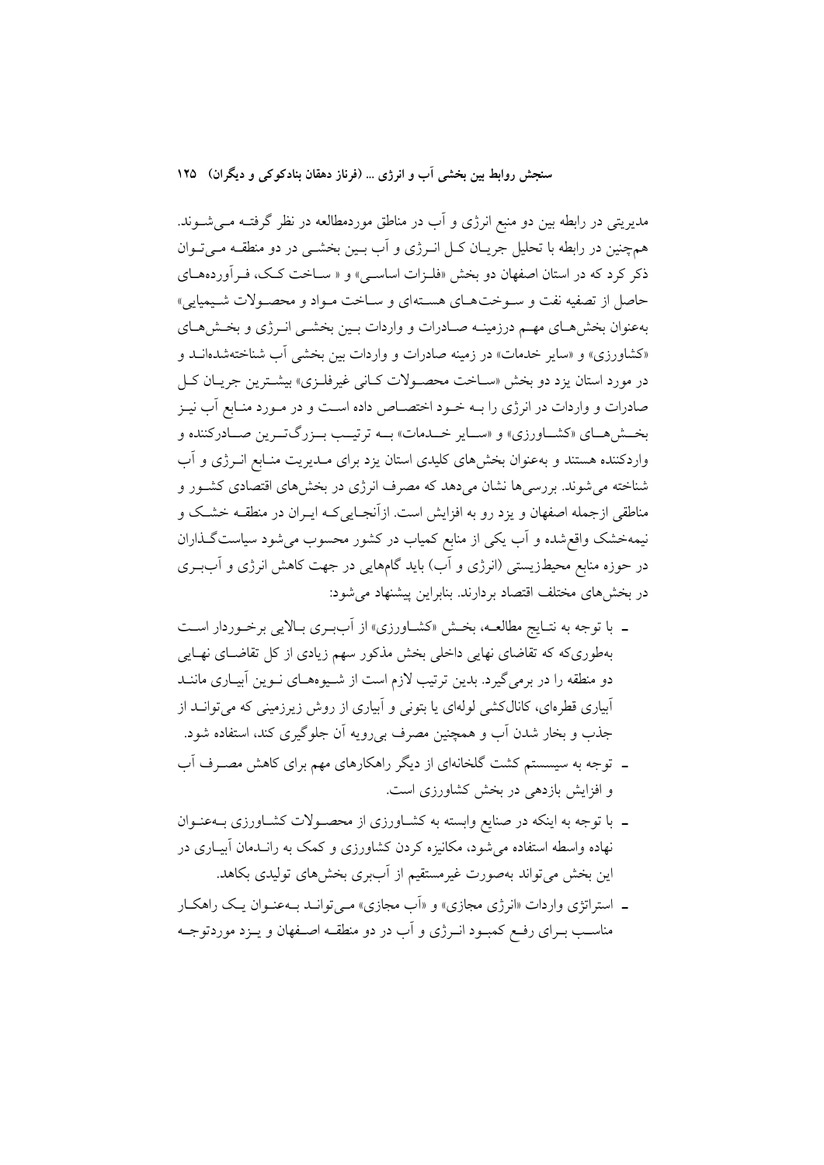مدیریتی در رابطه بین دو منبع انرژی و آب در مناطق موردمطالعه در نظر گرفتـه مـیشــوند. همچنین در رابطه با تحلیل جریـان کـل انــرژی و آب بــین بخشــی در دو منطقــه مــی تــوان ذکر کرد که در استان اصفهان دو بخش «فلـزات اساسـی» و « سـاخت کـک، فـرآوردههـای حاصل از تصفیه نفت و سـوختهـای هسـتهای و سـاخت مـواد و محصـولات شـيميايي» بهعنوان بخش هـاي مهـم درزمينـه صـادرات و واردات بـين بخشـي انـرژي و بخـش هـاي «کشاورزی» و «سایر خدمات» در زمینه صادرات و واردات بین بخشی آب شناختهشدهانـد و در مورد استان یزد دو بخش «سـاخت محصـولات کـانی غیرفلـزی» بیشـترین جریـان کـل صادرات و واردات در انرژی را بـه خــود اختصــاص داده اســت و در مــورد منــابع آب نيــز بخـش هـاي «كشـاورزي» و «سـاير خــدمات» بــه ترتيـب بــزرگتــرين صــادركننده و واردکننده هستند و بهعنوان بخشهای کلیدی استان یزد برای مــدیریت منـابع انــرژی و آب شناخته می شوند. بررسیها نشان میدهد که مصرف انرژی در بخشهای اقتصادی کشـور و مناطقی ازجمله اصفهان و یزد رو به افزایش است. ازآنجـایی کـه ایــران در منطقــه خشــک و نیمهخشک واقع شده و آب یکی از منابع کمیاب در کشور محسوب می شود سیاست گـذاران در حوزه منابع محیطزیستی (انرژی و آب) باید گامهایی در جهت کاهش انرژی و آببری در بخشهای مختلف اقتصاد بردارند. بنابراین پیشنهاد می شود:

- ـ با توجه به نتـايج مطالعــه، بخــش «كشــاورزي» از أببــري بــالايي برخــوردار اســت بهطوریکه که تقاضای نهایی داخلی بخش مذکور سهم زیادی از کل تقاضـای نهـایی دو منطقه را در برمی گیرد. بدین ترتیب لازم است از شـیوههـای نـوین آبیـاری ماننــد آبیاری قطرهای، کانالکشی لولهای یا بتونی و آبیاری از روش زیرزمینی که می توانــد از جذب و بخار شدن آب و همچنین مصرف بی٫رویه آن جلوگیری کند، استفاده شود.
- ـ توجه به سیسستم کشت گلخانهای از دیگر راهکارهای مهم برای کاهش مصـرف آب و افزایش بازدهی در بخش کشاورزی است.
- ـ با توجه به اینکه در صنایع وابسته به کشـاورزی از محصـولات کشـاورزی بــهعنــوان نهاده واسطه استفاده می شود، مکانیزه کردن کشاورزی و کمک به رانــدمان آبیــاری در این بخش می تواند بهصورت غیرمستقیم از آببری بخش های تولیدی بکاهد.
- ـ استراتژی واردات «انرژی مجازی» و «اَب مجازی» مـیتوانـد بـهعنـوان یـک راهکـار مناسب بـراي رفـع كمبـود انـرژي و آب در دو منطقــه اصــفهان و يــزد موردتوجــه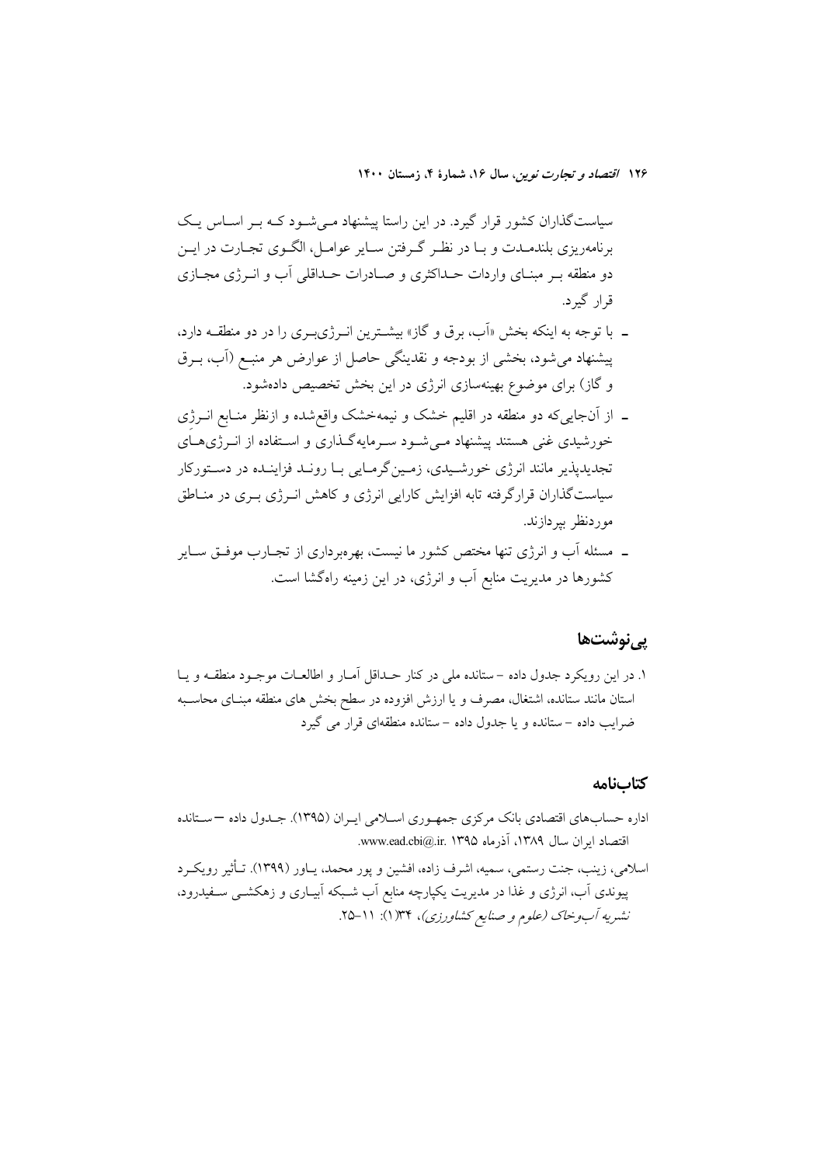سیاستگذاران کشور قرار گیرد. در این راستا پیشنهاد مـیشـود کـه بـر اسـاس یـک برنامهریزی بلندمــدت و بــا در نظـر گــرفتن ســایر عوامــل، الگــوی تجــارت در ایــن دو منطقه بـر مبنـای واردات حـداکثری و صـادرات حـداقلی آب و انــرژی مجــازی قرار گېرد.

- ـ با توجه به اینکه بخش «آب، برق و گاز» بیشترین انـرژیبـری را در دو منطقــه دارد، پیشنهاد می شود، بخشی از بودجه و نقدینگی حاصل از عوارض هر منبـع (آب، بــرق و گاز) برای موضوع بهینهسازی انرژی در این بخش تخصیص دادهشود.
- ـ از آنجاییکه دو منطقه در اقلیم خشک و نیمهخشک واقع شده و ازنظر منـابع انــرژی خورشیدی غنی هستند پیشنهاد مـیشـود سـرمایهگـذاری و اسـتفاده از انـرژیهـای تجدیدیدیر مانند انرژی خورشـیدی، زمـینگرمـایی بـا رونـد فزاینـده در دسـتورکار سیاستگذاران قرارگرفته تابه افزایش کارایی انرژی و کاهش انـرژی بـری در منــاطق موردنظر پیردازند.
- ۔ مسئله آب و انرژی تنها مختص کشور ما نیست، بهروبرداری از تجـارب موفـق سـایر کشورها در مدیریت منابع آب و انرژی، در این زمینه راهگشا است.

### یے نوشتھا

١. در اين رويكرد جدول داده – ستانده ملي در كنار حـداقل آمــار و اطالعــات موجــود منطقــه و يــا استان مانند ستانده، اشتغال، مصرف و یا ارزش افزوده در سطح بخش های منطقه مبنـای محاسـبه ضرایب داده –ستانده و یا جدول داده –ستانده منطقهای قرار می گیرد

#### كتابنامه

- اداره حسابهای اقتصادی بانک مرکزی جمهوری اسپلامی ایبران (۱۳۹۵). جبدول داده —ستانده اقتصاد ابران سال ۱۳۸۹، آذرماه ۱۳۹۵.ir. ۱۳۹۵.ead.cbi@.ir
- اسلامی، زینب، جنت رستمی، سمیه، اشرف زاده، افشین و پور محمد، یـاور (۱۳۹۹). تـأثیر رویکـرد پیوندی آب، انرژی و غذا در مدیریت یکپارچه منابع آب شـبکه آبیـاری و زهکشــی سـفیدرود، نشریه آب وخاک (علوم و صنایع کشاورزی)، ۱۳۴(۱): ۱۱–۲۵.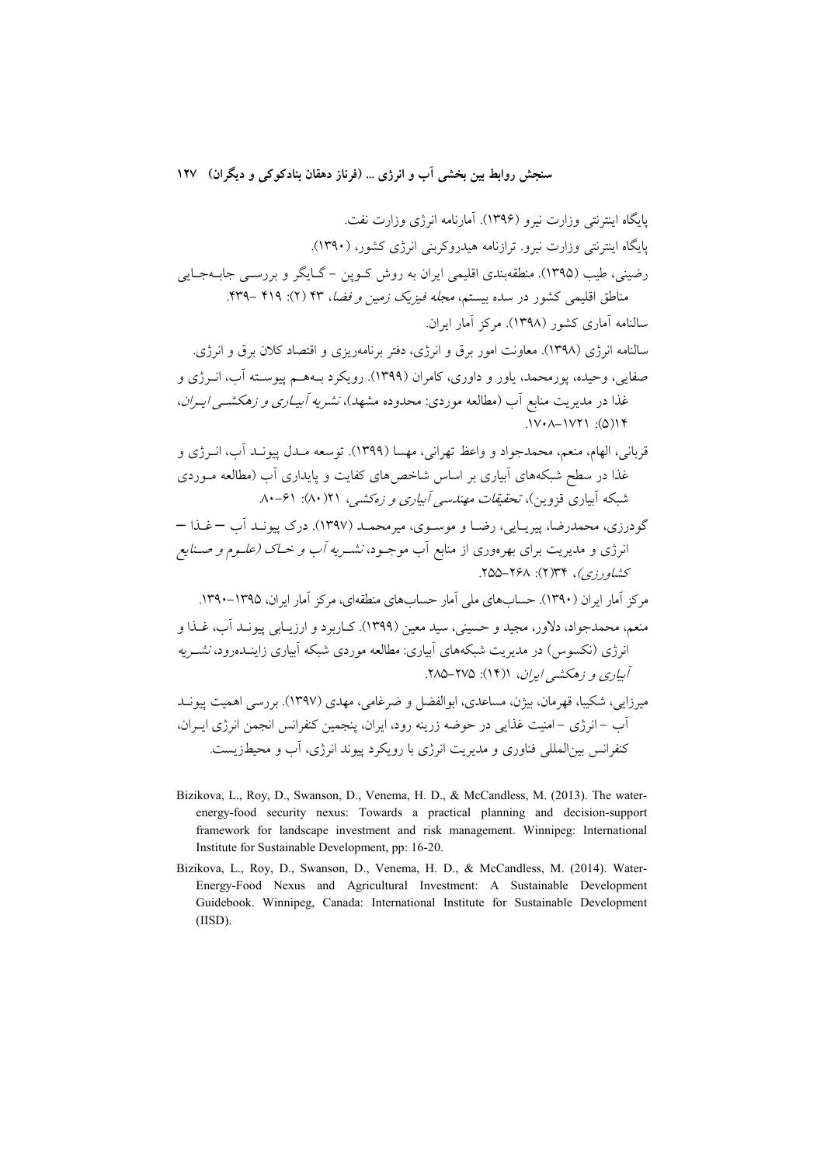- Bizikova, L., Roy, D., Swanson, D., Venema, H. D., & McCandless, M. (2013). The waterenergy-food security nexus: Towards a practical planning and decision-support framework for landscape investment and risk management. Winnipeg: International Institute for Sustainable Development, pp: 16-20.
- Bizikova, L., Roy, D., Swanson, D., Venema, H. D., & McCandless, M. (2014). Water-Energy-Food Nexus and Agricultural Investment: A Sustainable Development Guidebook. Winnipeg, Canada: International Institute for Sustainable Development  $(IISD).$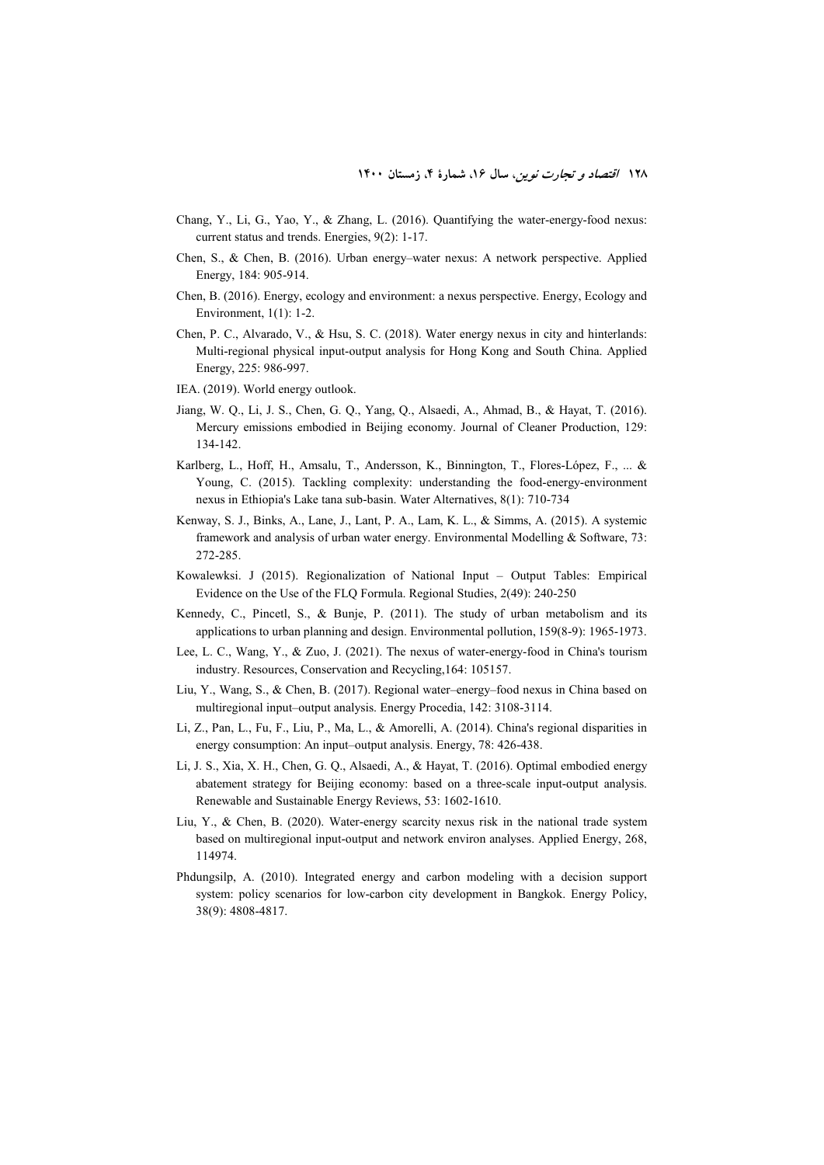- Chang, Y., Li, G., Yao, Y., & Zhang, L. (2016). Quantifying the water-energy-food nexus: current status and trends. Energies, 9(2): 1-17.
- Chen, S., & Chen, B. (2016). Urban energy–water nexus: A network perspective. Applied Energy, 184: 905-914.
- Chen, B. (2016). Energy, ecology and environment: a nexus perspective. Energy, Ecology and Environment, 1(1): 1-2.
- Chen, P. C., Alvarado, V., & Hsu, S. C. (2018). Water energy nexus in city and hinterlands: Multi-regional physical input-output analysis for Hong Kong and South China. Applied Energy, 225: 986-997.
- IEA. (2019). World energy outlook.
- Jiang, W. Q., Li, J. S., Chen, G. Q., Yang, Q., Alsaedi, A., Ahmad, B., & Hayat, T. (2016). Mercury emissions embodied in Beijing economy. Journal of Cleaner Production, 129: 134-142.
- Karlberg, L., Hoff, H., Amsalu, T., Andersson, K., Binnington, T., Flores-López, F., ... & Young, C. (2015). Tackling complexity: understanding the food-energy-environment nexus in Ethiopia's Lake tana sub-basin. Water Alternatives, 8(1): 710-734
- Kenway, S. J., Binks, A., Lane, J., Lant, P. A., Lam, K. L., & Simms, A. (2015). A systemic framework and analysis of urban water energy. Environmental Modelling & Software, 73: 272-285.
- Kowalewksi. J (2015). Regionalization of National Input Output Tables: Empirical Evidence on the Use of the FLQ Formula. Regional Studies, 2(49): 240-250
- Kennedy, C., Pincetl, S., & Bunje, P. (2011). The study of urban metabolism and its applications to urban planning and design. Environmental pollution, 159(8-9): 1965-1973.
- Lee, L. C., Wang, Y., & Zuo, J. (2021). The nexus of water-energy-food in China's tourism industry. Resources, Conservation and Recycling,164: 105157.
- Liu, Y., Wang, S., & Chen, B. (2017). Regional water–energy–food nexus in China based on multiregional input–output analysis. Energy Procedia, 142: 3108-3114.
- Li, Z., Pan, L., Fu, F., Liu, P., Ma, L., & Amorelli, A. (2014). China's regional disparities in energy consumption: An input–output analysis. Energy, 78: 426-438.
- Li, J. S., Xia, X. H., Chen, G. Q., Alsaedi, A., & Hayat, T. (2016). Optimal embodied energy abatement strategy for Beijing economy: based on a three-scale input-output analysis. Renewable and Sustainable Energy Reviews, 53: 1602-1610.
- Liu, Y., & Chen, B. (2020). Water-energy scarcity nexus risk in the national trade system based on multiregional input-output and network environ analyses. Applied Energy, 268, 114974.
- Phdungsilp, A. (2010). Integrated energy and carbon modeling with a decision support system: policy scenarios for low-carbon city development in Bangkok. Energy Policy, 38(9): 4808-4817.